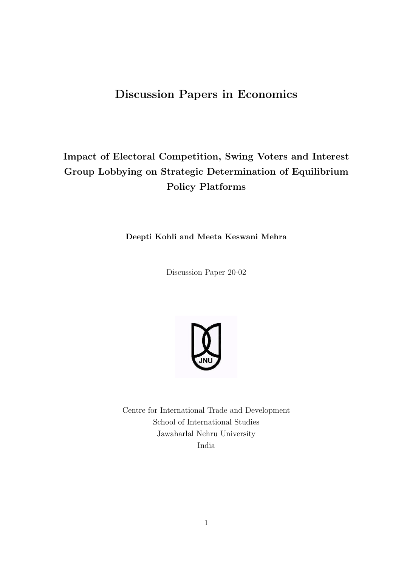# Discussion Papers in Economics

# Impact of Electoral Competition, Swing Voters and Interest Group Lobbying on Strategic Determination of Equilibrium Policy Platforms

Deepti Kohli and Meeta Keswani Mehra

Discussion Paper 20-02



Centre for International Trade and Development School of International Studies Jawaharlal Nehru University India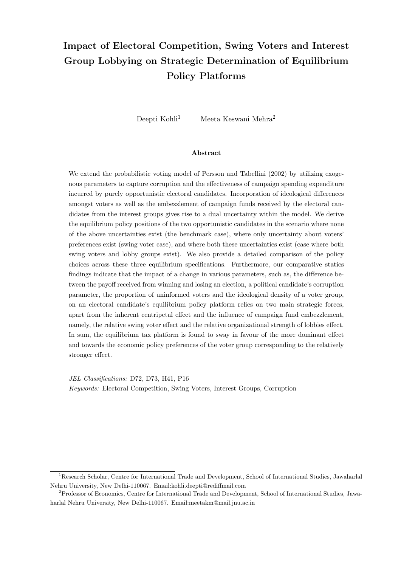# Impact of Electoral Competition, Swing Voters and Interest Group Lobbying on Strategic Determination of Equilibrium Policy Platforms

Deepti Kohli<sup>1</sup> Meeta Keswani Mehra<sup>2</sup>

#### Abstract

We extend the probabilistic voting model of Persson and Tabellini (2002) by utilizing exogenous parameters to capture corruption and the effectiveness of campaign spending expenditure incurred by purely opportunistic electoral candidates. Incorporation of ideological differences amongst voters as well as the embezzlement of campaign funds received by the electoral candidates from the interest groups gives rise to a dual uncertainty within the model. We derive the equilibrium policy positions of the two opportunistic candidates in the scenario where none of the above uncertainties exist (the benchmark case), where only uncertainty about voters' preferences exist (swing voter case), and where both these uncertainties exist (case where both swing voters and lobby groups exist). We also provide a detailed comparison of the policy choices across these three equilibrium specifications. Furthermore, our comparative statics findings indicate that the impact of a change in various parameters, such as, the difference between the payoff received from winning and losing an election, a political candidate's corruption parameter, the proportion of uninformed voters and the ideological density of a voter group, on an electoral candidate's equilibrium policy platform relies on two main strategic forces, apart from the inherent centripetal effect and the influence of campaign fund embezzlement, namely, the relative swing voter effect and the relative organizational strength of lobbies effect. In sum, the equilibrium tax platform is found to sway in favour of the more dominant effect and towards the economic policy preferences of the voter group corresponding to the relatively stronger effect.

JEL Classifications: D72, D73, H41, P16 Keywords: Electoral Competition, Swing Voters, Interest Groups, Corruption

<sup>1</sup>Research Scholar, Centre for International Trade and Development, School of International Studies, Jawaharlal Nehru University, New Delhi-110067. Email:kohli.deepti@rediffmail.com

<sup>2</sup>Professor of Economics, Centre for International Trade and Development, School of International Studies, Jawaharlal Nehru University, New Delhi-110067. Email:meetakm@mail.jnu.ac.in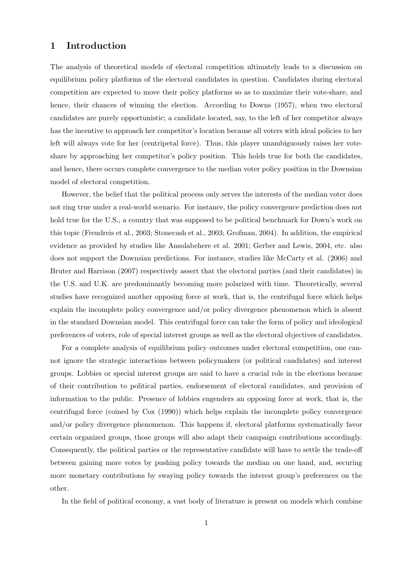### 1 Introduction

The analysis of theoretical models of electoral competition ultimately leads to a discussion on equilibrium policy platforms of the electoral candidates in question. Candidates during electoral competition are expected to move their policy platforms so as to maximize their vote-share, and hence, their chances of winning the election. According to Downs (1957), when two electoral candidates are purely opportunistic; a candidate located, say, to the left of her competitor always has the incentive to approach her competitor's location because all voters with ideal policies to her left will always vote for her (centripetal force). Thus, this player unambiguously raises her voteshare by approaching her competitor's policy position. This holds true for both the candidates, and hence, there occurs complete convergence to the median voter policy position in the Downsian model of electoral competition.

However, the belief that the political process only serves the interests of the median voter does not ring true under a real-world scenario. For instance, the policy convergence prediction does not hold true for the U.S., a country that was supposed to be political benchmark for Down's work on this topic (Frendreis et al., 2003; Stonecash et al., 2003; Grofman, 2004). In addition, the empirical evidence as provided by studies like Ansolabehere et al. 2001; Gerber and Lewis, 2004, etc. also does not support the Downsian predictions. For instance, studies like McCarty et al. (2006) and Bruter and Harrison (2007) respectively assert that the electoral parties (and their candidates) in the U.S. and U.K. are predominantly becoming more polarized with time. Theoretically, several studies have recognized another opposing force at work, that is, the centrifugal force which helps explain the incomplete policy convergence and/or policy divergence phenomenon which is absent in the standard Downsian model. This centrifugal force can take the form of policy and ideological preferences of voters, role of special interest groups as well as the electoral objectives of candidates.

For a complete analysis of equilibrium policy outcomes under electoral competition, one cannot ignore the strategic interactions between policymakers (or political candidates) and interest groups. Lobbies or special interest groups are said to have a crucial role in the elections because of their contribution to political parties, endorsement of electoral candidates, and provision of information to the public. Presence of lobbies engenders an opposing force at work, that is, the centrifugal force (coined by Cox (1990)) which helps explain the incomplete policy convergence and/or policy divergence phenomenon. This happens if, electoral platforms systematically favor certain organized groups, those groups will also adapt their campaign contributions accordingly. Consequently, the political parties or the representative candidate will have to settle the trade-off between gaining more votes by pushing policy towards the median on one hand, and, securing more monetary contributions by swaying policy towards the interest group's preferences on the other.

In the field of political economy, a vast body of literature is present on models which combine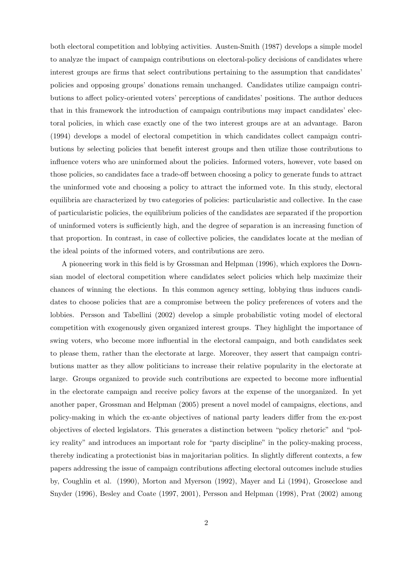both electoral competition and lobbying activities. Austen-Smith (1987) develops a simple model to analyze the impact of campaign contributions on electoral-policy decisions of candidates where interest groups are firms that select contributions pertaining to the assumption that candidates' policies and opposing groups' donations remain unchanged. Candidates utilize campaign contributions to affect policy-oriented voters' perceptions of candidates' positions. The author deduces that in this framework the introduction of campaign contributions may impact candidates' electoral policies, in which case exactly one of the two interest groups are at an advantage. Baron (1994) develops a model of electoral competition in which candidates collect campaign contributions by selecting policies that benefit interest groups and then utilize those contributions to influence voters who are uninformed about the policies. Informed voters, however, vote based on those policies, so candidates face a trade-off between choosing a policy to generate funds to attract the uninformed vote and choosing a policy to attract the informed vote. In this study, electoral equilibria are characterized by two categories of policies: particularistic and collective. In the case of particularistic policies, the equilibrium policies of the candidates are separated if the proportion of uninformed voters is sufficiently high, and the degree of separation is an increasing function of that proportion. In contrast, in case of collective policies, the candidates locate at the median of the ideal points of the informed voters, and contributions are zero.

A pioneering work in this field is by Grossman and Helpman (1996), which explores the Downsian model of electoral competition where candidates select policies which help maximize their chances of winning the elections. In this common agency setting, lobbying thus induces candidates to choose policies that are a compromise between the policy preferences of voters and the lobbies. Persson and Tabellini (2002) develop a simple probabilistic voting model of electoral competition with exogenously given organized interest groups. They highlight the importance of swing voters, who become more influential in the electoral campaign, and both candidates seek to please them, rather than the electorate at large. Moreover, they assert that campaign contributions matter as they allow politicians to increase their relative popularity in the electorate at large. Groups organized to provide such contributions are expected to become more influential in the electorate campaign and receive policy favors at the expense of the unorganized. In yet another paper, Grossman and Helpman (2005) present a novel model of campaigns, elections, and policy-making in which the ex-ante objectives of national party leaders differ from the ex-post objectives of elected legislators. This generates a distinction between "policy rhetoric" and "policy reality" and introduces an important role for "party discipline" in the policy-making process, thereby indicating a protectionist bias in majoritarian politics. In slightly different contexts, a few papers addressing the issue of campaign contributions affecting electoral outcomes include studies by, Coughlin et al. (1990), Morton and Myerson (1992), Mayer and Li (1994), Groseclose and Snyder (1996), Besley and Coate (1997, 2001), Persson and Helpman (1998), Prat (2002) among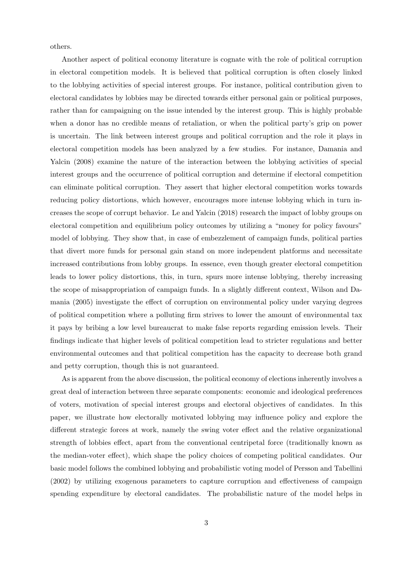others.

Another aspect of political economy literature is cognate with the role of political corruption in electoral competition models. It is believed that political corruption is often closely linked to the lobbying activities of special interest groups. For instance, political contribution given to electoral candidates by lobbies may be directed towards either personal gain or political purposes, rather than for campaigning on the issue intended by the interest group. This is highly probable when a donor has no credible means of retaliation, or when the political party's grip on power is uncertain. The link between interest groups and political corruption and the role it plays in electoral competition models has been analyzed by a few studies. For instance, Damania and Yalcin (2008) examine the nature of the interaction between the lobbying activities of special interest groups and the occurrence of political corruption and determine if electoral competition can eliminate political corruption. They assert that higher electoral competition works towards reducing policy distortions, which however, encourages more intense lobbying which in turn increases the scope of corrupt behavior. Le and Yalcin (2018) research the impact of lobby groups on electoral competition and equilibrium policy outcomes by utilizing a "money for policy favours" model of lobbying. They show that, in case of embezzlement of campaign funds, political parties that divert more funds for personal gain stand on more independent platforms and necessitate increased contributions from lobby groups. In essence, even though greater electoral competition leads to lower policy distortions, this, in turn, spurs more intense lobbying, thereby increasing the scope of misappropriation of campaign funds. In a slightly different context, Wilson and Damania (2005) investigate the effect of corruption on environmental policy under varying degrees of political competition where a polluting firm strives to lower the amount of environmental tax it pays by bribing a low level bureaucrat to make false reports regarding emission levels. Their findings indicate that higher levels of political competition lead to stricter regulations and better environmental outcomes and that political competition has the capacity to decrease both grand and petty corruption, though this is not guaranteed.

As is apparent from the above discussion, the political economy of elections inherently involves a great deal of interaction between three separate components: economic and ideological preferences of voters, motivation of special interest groups and electoral objectives of candidates. In this paper, we illustrate how electorally motivated lobbying may influence policy and explore the different strategic forces at work, namely the swing voter effect and the relative organizational strength of lobbies effect, apart from the conventional centripetal force (traditionally known as the median-voter effect), which shape the policy choices of competing political candidates. Our basic model follows the combined lobbying and probabilistic voting model of Persson and Tabellini (2002) by utilizing exogenous parameters to capture corruption and effectiveness of campaign spending expenditure by electoral candidates. The probabilistic nature of the model helps in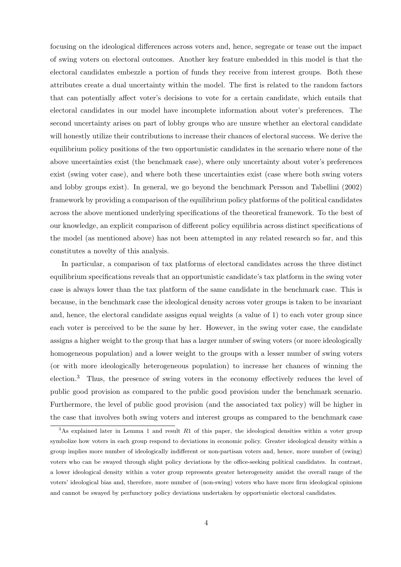focusing on the ideological differences across voters and, hence, segregate or tease out the impact of swing voters on electoral outcomes. Another key feature embedded in this model is that the electoral candidates embezzle a portion of funds they receive from interest groups. Both these attributes create a dual uncertainty within the model. The first is related to the random factors that can potentially affect voter's decisions to vote for a certain candidate, which entails that electoral candidates in our model have incomplete information about voter's preferences. The second uncertainty arises on part of lobby groups who are unsure whether an electoral candidate will honestly utilize their contributions to increase their chances of electoral success. We derive the equilibrium policy positions of the two opportunistic candidates in the scenario where none of the above uncertainties exist (the benchmark case), where only uncertainty about voter's preferences exist (swing voter case), and where both these uncertainties exist (case where both swing voters and lobby groups exist). In general, we go beyond the benchmark Persson and Tabellini (2002) framework by providing a comparison of the equilibrium policy platforms of the political candidates across the above mentioned underlying specifications of the theoretical framework. To the best of our knowledge, an explicit comparison of different policy equilibria across distinct specifications of the model (as mentioned above) has not been attempted in any related research so far, and this constitutes a novelty of this analysis.

In particular, a comparison of tax platforms of electoral candidates across the three distinct equilibrium specifications reveals that an opportunistic candidate's tax platform in the swing voter case is always lower than the tax platform of the same candidate in the benchmark case. This is because, in the benchmark case the ideological density across voter groups is taken to be invariant and, hence, the electoral candidate assigns equal weights (a value of 1) to each voter group since each voter is perceived to be the same by her. However, in the swing voter case, the candidate assigns a higher weight to the group that has a larger number of swing voters (or more ideologically homogeneous population) and a lower weight to the groups with a lesser number of swing voters (or with more ideologically heterogeneous population) to increase her chances of winning the election.<sup>3</sup> Thus, the presence of swing voters in the economy effectively reduces the level of public good provision as compared to the public good provision under the benchmark scenario. Furthermore, the level of public good provision (and the associated tax policy) will be higher in the case that involves both swing voters and interest groups as compared to the benchmark case

 $3$ As explained later in Lemma 1 and result R1 of this paper, the ideological densities within a voter group symbolize how voters in each group respond to deviations in economic policy. Greater ideological density within a group implies more number of ideologically indifferent or non-partisan voters and, hence, more number of (swing) voters who can be swayed through slight policy deviations by the office-seeking political candidates. In contrast, a lower ideological density within a voter group represents greater heterogeneity amidst the overall range of the voters' ideological bias and, therefore, more number of (non-swing) voters who have more firm ideological opinions and cannot be swayed by perfunctory policy deviations undertaken by opportunistic electoral candidates.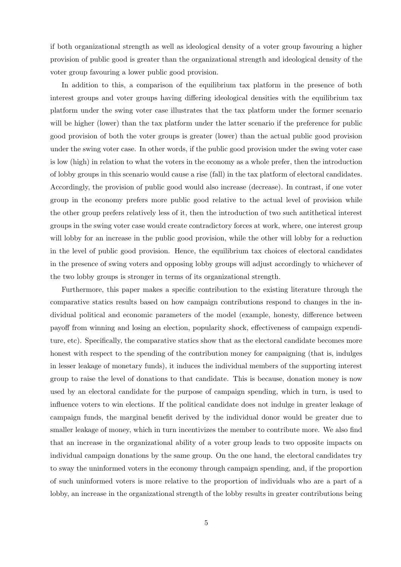if both organizational strength as well as ideological density of a voter group favouring a higher provision of public good is greater than the organizational strength and ideological density of the voter group favouring a lower public good provision.

In addition to this, a comparison of the equilibrium tax platform in the presence of both interest groups and voter groups having differing ideological densities with the equilibrium tax platform under the swing voter case illustrates that the tax platform under the former scenario will be higher (lower) than the tax platform under the latter scenario if the preference for public good provision of both the voter groups is greater (lower) than the actual public good provision under the swing voter case. In other words, if the public good provision under the swing voter case is low (high) in relation to what the voters in the economy as a whole prefer, then the introduction of lobby groups in this scenario would cause a rise (fall) in the tax platform of electoral candidates. Accordingly, the provision of public good would also increase (decrease). In contrast, if one voter group in the economy prefers more public good relative to the actual level of provision while the other group prefers relatively less of it, then the introduction of two such antithetical interest groups in the swing voter case would create contradictory forces at work, where, one interest group will lobby for an increase in the public good provision, while the other will lobby for a reduction in the level of public good provision. Hence, the equilibrium tax choices of electoral candidates in the presence of swing voters and opposing lobby groups will adjust accordingly to whichever of the two lobby groups is stronger in terms of its organizational strength.

Furthermore, this paper makes a specific contribution to the existing literature through the comparative statics results based on how campaign contributions respond to changes in the individual political and economic parameters of the model (example, honesty, difference between payoff from winning and losing an election, popularity shock, effectiveness of campaign expenditure, etc). Specifically, the comparative statics show that as the electoral candidate becomes more honest with respect to the spending of the contribution money for campaigning (that is, indulges in lesser leakage of monetary funds), it induces the individual members of the supporting interest group to raise the level of donations to that candidate. This is because, donation money is now used by an electoral candidate for the purpose of campaign spending, which in turn, is used to influence voters to win elections. If the political candidate does not indulge in greater leakage of campaign funds, the marginal benefit derived by the individual donor would be greater due to smaller leakage of money, which in turn incentivizes the member to contribute more. We also find that an increase in the organizational ability of a voter group leads to two opposite impacts on individual campaign donations by the same group. On the one hand, the electoral candidates try to sway the uninformed voters in the economy through campaign spending, and, if the proportion of such uninformed voters is more relative to the proportion of individuals who are a part of a lobby, an increase in the organizational strength of the lobby results in greater contributions being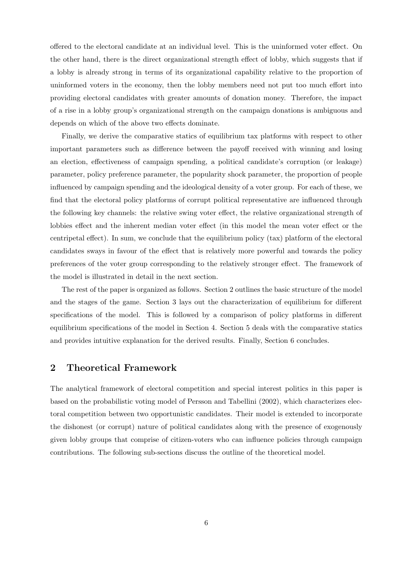offered to the electoral candidate at an individual level. This is the uninformed voter effect. On the other hand, there is the direct organizational strength effect of lobby, which suggests that if a lobby is already strong in terms of its organizational capability relative to the proportion of uninformed voters in the economy, then the lobby members need not put too much effort into providing electoral candidates with greater amounts of donation money. Therefore, the impact of a rise in a lobby group's organizational strength on the campaign donations is ambiguous and depends on which of the above two effects dominate.

Finally, we derive the comparative statics of equilibrium tax platforms with respect to other important parameters such as difference between the payoff received with winning and losing an election, effectiveness of campaign spending, a political candidate's corruption (or leakage) parameter, policy preference parameter, the popularity shock parameter, the proportion of people influenced by campaign spending and the ideological density of a voter group. For each of these, we find that the electoral policy platforms of corrupt political representative are influenced through the following key channels: the relative swing voter effect, the relative organizational strength of lobbies effect and the inherent median voter effect (in this model the mean voter effect or the centripetal effect). In sum, we conclude that the equilibrium policy (tax) platform of the electoral candidates sways in favour of the effect that is relatively more powerful and towards the policy preferences of the voter group corresponding to the relatively stronger effect. The framework of the model is illustrated in detail in the next section.

The rest of the paper is organized as follows. Section 2 outlines the basic structure of the model and the stages of the game. Section 3 lays out the characterization of equilibrium for different specifications of the model. This is followed by a comparison of policy platforms in different equilibrium specifications of the model in Section 4. Section 5 deals with the comparative statics and provides intuitive explanation for the derived results. Finally, Section 6 concludes.

### 2 Theoretical Framework

The analytical framework of electoral competition and special interest politics in this paper is based on the probabilistic voting model of Persson and Tabellini (2002), which characterizes electoral competition between two opportunistic candidates. Their model is extended to incorporate the dishonest (or corrupt) nature of political candidates along with the presence of exogenously given lobby groups that comprise of citizen-voters who can influence policies through campaign contributions. The following sub-sections discuss the outline of the theoretical model.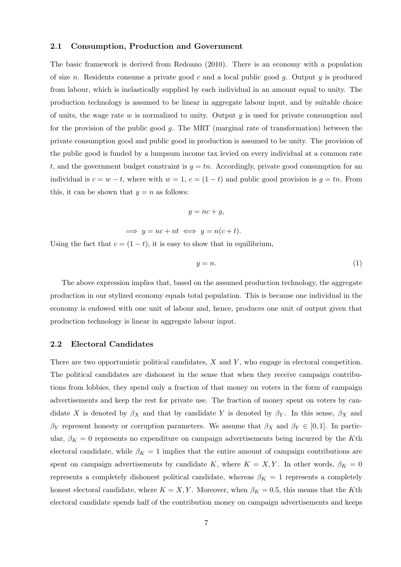### 2.1 Consumption, Production and Government

The basic framework is derived from Redoano (2010). There is an economy with a population of size n. Residents consume a private good c and a local public good g. Output y is produced from labour, which is inelastically supplied by each individual in an amount equal to unity. The production technology is assumed to be linear in aggregate labour input, and by suitable choice of units, the wage rate  $w$  is normalized to unity. Output  $y$  is used for private consumption and for the provision of the public good g. The MRT (marginal rate of transformation) between the private consumption good and public good in production is assumed to be unity. The provision of the public good is funded by a lumpsum income tax levied on every individual at a common rate t, and the government budget constraint is  $g = tn$ . Accordingly, private good consumption for an individual is  $c = w - t$ , where with  $w = 1$ ,  $c = (1 - t)$  and public good provision is  $g = tn$ . From this, it can be shown that  $y = n$  as follows:

$$
y = nc + g,
$$

$$
\implies y = nc + nt \iff y = n(c + t).
$$

Using the fact that  $c = (1 - t)$ , it is easy to show that in equilibrium,

$$
y = n.\t\t(1)
$$

The above expression implies that, based on the assumed production technology, the aggregate production in our stylized economy equals total population. This is because one individual in the economy is endowed with one unit of labour and, hence, produces one unit of output given that production technology is linear in aggregate labour input.

### 2.2 Electoral Candidates

There are two opportunistic political candidates,  $X$  and  $Y$ , who engage in electoral competition. The political candidates are dishonest in the sense that when they receive campaign contributions from lobbies, they spend only a fraction of that money on voters in the form of campaign advertisements and keep the rest for private use. The fraction of money spent on voters by candidate X is denoted by  $\beta_X$  and that by candidate Y is denoted by  $\beta_Y$ . In this sense,  $\beta_X$  and  $\beta_Y$  represent honesty or corruption parameters. We assume that  $\beta_X$  and  $\beta_Y \in [0,1]$ . In particular,  $\beta_K = 0$  represents no expenditure on campaign advertisements being incurred by the Kth electoral candidate, while  $\beta_K = 1$  implies that the entire amount of campaign contributions are spent on campaign advertisements by candidate K, where  $K = X, Y$ . In other words,  $\beta_K = 0$ represents a completely dishonest political candidate, whereas  $\beta_K = 1$  represents a completely honest electoral candidate, where  $K = X, Y$ . Moreover, when  $\beta_K = 0.5$ , this means that the Kth electoral candidate spends half of the contribution money on campaign advertisements and keeps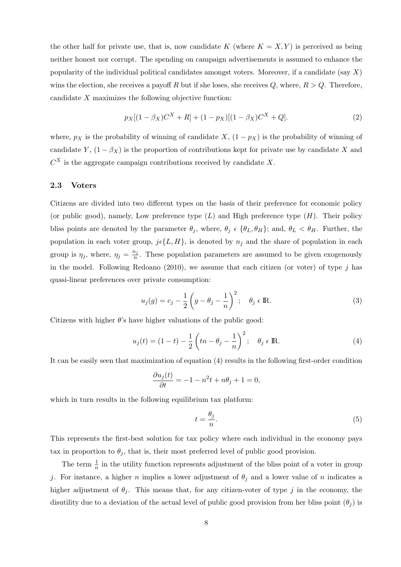the other half for private use, that is, now candidate K (where  $K = X, Y$ ) is perceived as being neither honest nor corrupt. The spending on campaign advertisements is assumed to enhance the popularity of the individual political candidates amongst voters. Moreover, if a candidate (say  $X$ ) wins the election, she receives a payoff R but if she loses, she receives Q, where,  $R > Q$ . Therefore, candidate X maximizes the following objective function:

$$
p_X[(1 - \beta_X)C^X + R] + (1 - p_X)[(1 - \beta_X)C^X + Q].
$$
\n(2)

where,  $p_X$  is the probability of winning of candidate X,  $(1 - p_X)$  is the probability of winning of candidate Y,  $(1 - \beta_X)$  is the proportion of contributions kept for private use by candidate X and  $C<sup>X</sup>$  is the aggregate campaign contributions received by candidate X.

#### 2.3 Voters

Citizens are divided into two different types on the basis of their preference for economic policy (or public good), namely, Low preference type  $(L)$  and High preference type  $(H)$ . Their policy bliss points are denoted by the parameter  $\theta_j$ , where,  $\theta_j \in {\theta_L, \theta_H}$ ; and,  $\theta_L < \theta_H$ . Further, the population in each voter group,  $j\epsilon\{L, H\}$ , is denoted by  $n_j$  and the share of population in each group is  $\eta_j$ , where,  $\eta_j = \frac{n_j}{n_j}$  $\frac{n_j}{n}$ . These population parameters are assumed to be given exogenously in the model. Following Redoano  $(2010)$ , we assume that each citizen (or voter) of type j has quasi-linear preferences over private consumption:

$$
u_j(g) = c_j - \frac{1}{2} \left( g - \theta_j - \frac{1}{n} \right)^2; \quad \theta_j \in \mathbb{R}.
$$
 (3)

Citizens with higher  $\theta$ 's have higher valuations of the public good:

$$
u_j(t) = (1 - t) - \frac{1}{2} \left( tn - \theta_j - \frac{1}{n} \right)^2; \quad \theta_j \in \mathbb{R}.
$$
 (4)

It can be easily seen that maximization of equation (4) results in the following first-order condition

$$
\frac{\partial u_j(t)}{\partial t} = -1 - n^2 t + n\theta_j + 1 = 0,
$$

which in turn results in the following equilibrium tax platform:

$$
t = \frac{\theta_j}{n}.\tag{5}
$$

This represents the first-best solution for tax policy where each individual in the economy pays tax in proportion to  $\theta_j$ , that is, their most preferred level of public good provision.

The term  $\frac{1}{n}$  in the utility function represents adjustment of the bliss point of a voter in group j. For instance, a higher n implies a lower adjustment of  $\theta_i$  and a lower value of n indicates a higher adjustment of  $\theta_i$ . This means that, for any citizen-voter of type j in the economy, the disutility due to a deviation of the actual level of public good provision from her bliss point  $(\theta_i)$  is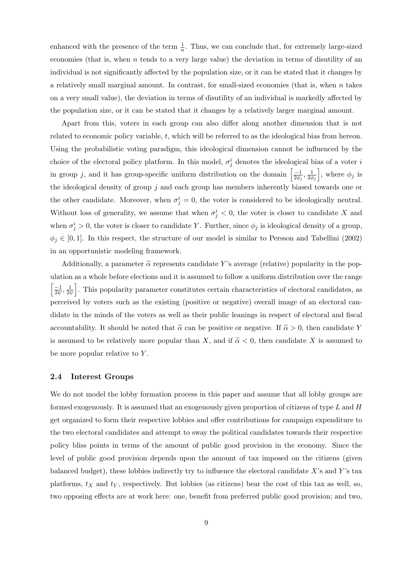enhanced with the presence of the term  $\frac{1}{n}$ . Thus, we can conclude that, for extremely large-sized economies (that is, when  $n$  tends to a very large value) the deviation in terms of disutility of an individual is not significantly affected by the population size, or it can be stated that it changes by a relatively small marginal amount. In contrast, for small-sized economies (that is, when  $n$  takes on a very small value), the deviation in terms of disutility of an individual is markedly affected by the population size, or it can be stated that it changes by a relatively larger marginal amount.

Apart from this, voters in each group can also differ along another dimension that is not related to economic policy variable, t, which will be referred to as the ideological bias from hereon. Using the probabilistic voting paradigm, this ideological dimension cannot be influenced by the choice of the electoral policy platform. In this model,  $\sigma_j^i$  denotes the ideological bias of a voter i in group j, and it has group-specific uniform distribution on the domain  $\left[\frac{-1}{2\phi}\right]$  $\frac{-1}{2\phi_j}, \frac{1}{2\phi_j}$  $2\phi_j$ , where  $\phi_j$  is the ideological density of group  $j$  and each group has members inherently biased towards one or the other candidate. Moreover, when  $\sigma_j^i = 0$ , the voter is considered to be ideologically neutral. Without loss of generality, we assume that when  $\sigma_j^i < 0$ , the voter is closer to candidate X and when  $\sigma_j^i > 0$ , the voter is closer to candidate Y. Further, since  $\phi_j$  is ideological density of a group,  $\phi_j \in [0,1]$ . In this respect, the structure of our model is similar to Persson and Tabellini (2002) in an opportunistic modeling framework.

Additionally, a parameter  $\tilde{\alpha}$  represents candidate Y's average (relative) popularity in the population as a whole before elections and it is assumed to follow a uniform distribution over the range  $\lceil -1 \rceil$  $\frac{-1}{2\psi}, \frac{1}{2\psi}$  $\frac{1}{2\psi}$ . This popularity parameter constitutes certain characteristics of electoral candidates, as perceived by voters such as the existing (positive or negative) overall image of an electoral candidate in the minds of the voters as well as their public leanings in respect of electoral and fiscal accountability. It should be noted that  $\tilde{\alpha}$  can be positive or negative. If  $\tilde{\alpha} > 0$ , then candidate Y is assumed to be relatively more popular than X, and if  $\tilde{\alpha} < 0$ , then candidate X is assumed to be more popular relative to  $Y$ .

### 2.4 Interest Groups

We do not model the lobby formation process in this paper and assume that all lobby groups are formed exogenously. It is assumed that an exogenously given proportion of citizens of type L and H get organized to form their respective lobbies and offer contributions for campaign expenditure to the two electoral candidates and attempt to sway the political candidates towards their respective policy bliss points in terms of the amount of public good provision in the economy. Since the level of public good provision depends upon the amount of tax imposed on the citizens (given balanced budget), these lobbies indirectly try to influence the electoral candidate  $X$ 's and  $Y$ 's tax platforms,  $t_X$  and  $t_Y$ , respectively. But lobbies (as citizens) bear the cost of this tax as well, so, two opposing effects are at work here: one, benefit from preferred public good provision; and two,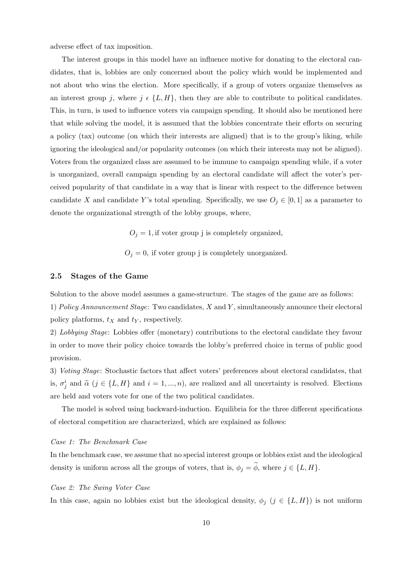adverse effect of tax imposition.

The interest groups in this model have an influence motive for donating to the electoral candidates, that is, lobbies are only concerned about the policy which would be implemented and not about who wins the election. More specifically, if a group of voters organize themselves as an interest group j, where  $j \in \{L, H\}$ , then they are able to contribute to political candidates. This, in turn, is used to influence voters via campaign spending. It should also be mentioned here that while solving the model, it is assumed that the lobbies concentrate their efforts on securing a policy (tax) outcome (on which their interests are aligned) that is to the group's liking, while ignoring the ideological and/or popularity outcomes (on which their interests may not be aligned). Voters from the organized class are assumed to be immune to campaign spending while, if a voter is unorganized, overall campaign spending by an electoral candidate will affect the voter's perceived popularity of that candidate in a way that is linear with respect to the difference between candidate X and candidate Y's total spending. Specifically, we use  $O_j \in [0,1]$  as a parameter to denote the organizational strength of the lobby groups, where,

 $O_i = 1$ , if voter group j is completely organized,

 $O_j = 0$ , if voter group j is completely unorganized.

### 2.5 Stages of the Game

Solution to the above model assumes a game-structure. The stages of the game are as follows:

1) Policy Announcement Stage: Two candidates,  $X$  and  $Y$ , simultaneously announce their electoral policy platforms,  $t_X$  and  $t_Y$ , respectively.

2) Lobbying Stage: Lobbies offer (monetary) contributions to the electoral candidate they favour in order to move their policy choice towards the lobby's preferred choice in terms of public good provision.

3) Voting Stage: Stochastic factors that affect voters' preferences about electoral candidates, that is,  $\sigma_j^i$  and  $\tilde{\alpha}$  ( $j \in \{L, H\}$  and  $i = 1, ..., n$ ), are realized and all uncertainty is resolved. Elections are held and voters vote for one of the two political candidates.

The model is solved using backward-induction. Equilibria for the three different specifications of electoral competition are characterized, which are explained as follows:

#### Case 1: The Benchmark Case

In the benchmark case, we assume that no special interest groups or lobbies exist and the ideological density is uniform across all the groups of voters, that is,  $\phi_j = \widetilde{\phi}$ , where  $j \in \{L, H\}$ .

### Case 2: The Swing Voter Case

In this case, again no lobbies exist but the ideological density,  $\phi_j$  ( $j \in \{L, H\}$ ) is not uniform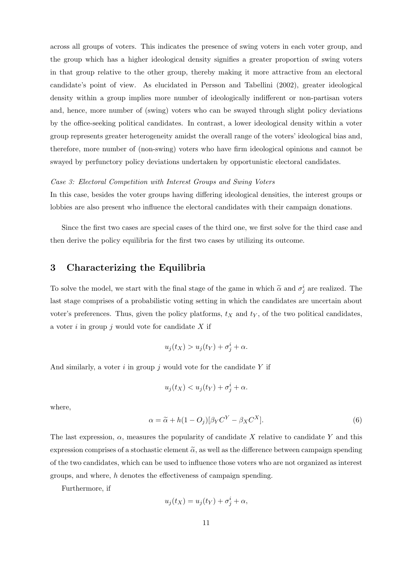across all groups of voters. This indicates the presence of swing voters in each voter group, and the group which has a higher ideological density signifies a greater proportion of swing voters in that group relative to the other group, thereby making it more attractive from an electoral candidate's point of view. As elucidated in Persson and Tabellini (2002), greater ideological density within a group implies more number of ideologically indifferent or non-partisan voters and, hence, more number of (swing) voters who can be swayed through slight policy deviations by the office-seeking political candidates. In contrast, a lower ideological density within a voter group represents greater heterogeneity amidst the overall range of the voters' ideological bias and, therefore, more number of (non-swing) voters who have firm ideological opinions and cannot be swayed by perfunctory policy deviations undertaken by opportunistic electoral candidates.

### Case 3: Electoral Competition with Interest Groups and Swing Voters

In this case, besides the voter groups having differing ideological densities, the interest groups or lobbies are also present who influence the electoral candidates with their campaign donations.

Since the first two cases are special cases of the third one, we first solve for the third case and then derive the policy equilibria for the first two cases by utilizing its outcome.

### 3 Characterizing the Equilibria

To solve the model, we start with the final stage of the game in which  $\tilde{\alpha}$  and  $\sigma_j^i$  are realized. The last stage comprises of a probabilistic voting setting in which the candidates are uncertain about voter's preferences. Thus, given the policy platforms,  $t_X$  and  $t_Y$ , of the two political candidates, a voter  $i$  in group  $j$  would vote for candidate  $X$  if

$$
u_j(t_X) > u_j(t_Y) + \sigma_j^i + \alpha.
$$

And similarly, a voter  $i$  in group  $j$  would vote for the candidate  $Y$  if

$$
u_j(t_X) < u_j(t_Y) + \sigma_j^i + \alpha.
$$

where,

$$
\alpha = \tilde{\alpha} + h(1 - O_j)[\beta_Y C^Y - \beta_X C^X].
$$
\n(6)

The last expression,  $\alpha$ , measures the popularity of candidate X relative to candidate Y and this expression comprises of a stochastic element  $\tilde{\alpha}$ , as well as the difference between campaign spending of the two candidates, which can be used to influence those voters who are not organized as interest groups, and where,  $h$  denotes the effectiveness of campaign spending.

Furthermore, if

$$
u_j(t_X) = u_j(t_Y) + \sigma_j^i + \alpha,
$$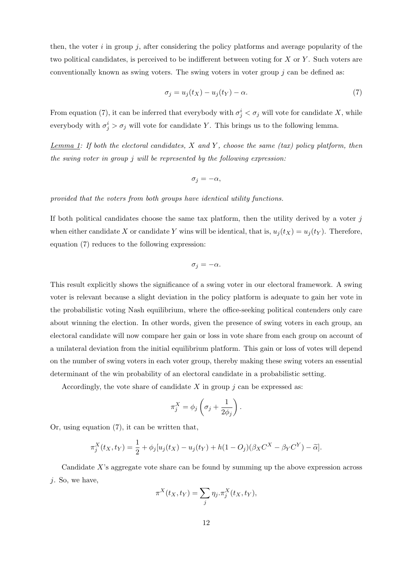then, the voter  $i$  in group  $j$ , after considering the policy platforms and average popularity of the two political candidates, is perceived to be indifferent between voting for  $X$  or  $Y$ . Such voters are conventionally known as swing voters. The swing voters in voter group  $j$  can be defined as:

$$
\sigma_j = u_j(t_X) - u_j(t_Y) - \alpha. \tag{7}
$$

From equation (7), it can be inferred that everybody with  $\sigma_j^i < \sigma_j$  will vote for candidate X, while everybody with  $\sigma_j^i > \sigma_j$  will vote for candidate Y. This brings us to the following lemma.

 $Lemma 1: If both the electrical candidates, X and Y, choose the same (tax) policy platform, then$ </u> the swing voter in group j will be represented by the following expression:

$$
\sigma_j = -\alpha,
$$

provided that the voters from both groups have identical utility functions.

If both political candidates choose the same tax platform, then the utility derived by a voter  $j$ when either candidate X or candidate Y wins will be identical, that is,  $u_j(t_X) = u_j(t_Y)$ . Therefore, equation (7) reduces to the following expression:

$$
\sigma_j=-\alpha.
$$

This result explicitly shows the significance of a swing voter in our electoral framework. A swing voter is relevant because a slight deviation in the policy platform is adequate to gain her vote in the probabilistic voting Nash equilibrium, where the office-seeking political contenders only care about winning the election. In other words, given the presence of swing voters in each group, an electoral candidate will now compare her gain or loss in vote share from each group on account of a unilateral deviation from the initial equilibrium platform. This gain or loss of votes will depend on the number of swing voters in each voter group, thereby making these swing voters an essential determinant of the win probability of an electoral candidate in a probabilistic setting.

Accordingly, the vote share of candidate X in group  $j$  can be expressed as:

$$
\pi_j^X = \phi_j \left( \sigma_j + \frac{1}{2\phi_j} \right).
$$

Or, using equation (7), it can be written that,

$$
\pi_j^X(t_X, t_Y) = \frac{1}{2} + \phi_j[u_j(t_X) - u_j(t_Y) + h(1 - O_j)(\beta_X C^X - \beta_Y C^Y) - \widetilde{\alpha}].
$$

Candidate  $X$ 's aggregate vote share can be found by summing up the above expression across  $j$ . So, we have,

$$
\pi^X(t_X, t_Y) = \sum_j \eta_j . \pi_j^X(t_X, t_Y),
$$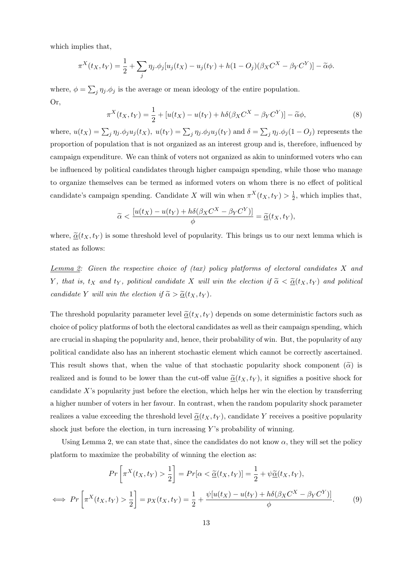which implies that,

$$
\pi^X(t_X, t_Y) = \frac{1}{2} + \sum_j \eta_j \cdot \phi_j[u_j(t_X) - u_j(t_Y) + h(1 - O_j)(\beta_X C^X - \beta_Y C^Y)] - \widetilde{\alpha}\phi.
$$

where,  $\phi = \sum_j \eta_j \phi_j$  is the average or mean ideology of the entire population. Or,

$$
\pi^X(t_X, t_Y) = \frac{1}{2} + [u(t_X) - u(t_Y) + h\delta(\beta_X C^X - \beta_Y C^Y)] - \widetilde{\alpha}\phi,
$$
\n(8)

where,  $u(t_X) = \sum_j \eta_j \cdot \phi_j u_j(t_X)$ ,  $u(t_Y) = \sum_j \eta_j \cdot \phi_j u_j(t_Y)$  and  $\delta = \sum_j \eta_j \cdot \phi_j (1 - O_j)$  represents the proportion of population that is not organized as an interest group and is, therefore, influenced by campaign expenditure. We can think of voters not organized as akin to uninformed voters who can be influenced by political candidates through higher campaign spending, while those who manage to organize themselves can be termed as informed voters on whom there is no effect of political candidate's campaign spending. Candidate X will win when  $\pi^{X}(t_X, t_Y) > \frac{1}{2}$  $\frac{1}{2}$ , which implies that,

$$
\widetilde{\alpha} < \frac{[u(t_X) - u(t_Y) + h\delta(\beta_X C^X - \beta_Y C^Y)]}{\phi} = \underline{\widetilde{\alpha}}(t_X, t_Y),
$$

where,  $\tilde{\mathbf{\alpha}}(t_X, t_Y)$  is some threshold level of popularity. This brings us to our next lemma which is stated as follows:

Lemma 2: Given the respective choice of  $(tax)$  policy platforms of electoral candidates X and Y, that is,  $t_X$  and  $t_Y$ , political candidate X will win the election if  $\tilde{\alpha} < \underline{\tilde{\alpha}}(t_X, t_Y)$  and political candidate Y will win the election if  $\tilde{\alpha} > \underline{\tilde{\alpha}}(t_X, t_Y)$ .

The threshold popularity parameter level  $\tilde{\underline{\alpha}}(t_X, t_Y)$  depends on some deterministic factors such as choice of policy platforms of both the electoral candidates as well as their campaign spending, which are crucial in shaping the popularity and, hence, their probability of win. But, the popularity of any political candidate also has an inherent stochastic element which cannot be correctly ascertained. This result shows that, when the value of that stochastic popularity shock component  $(\tilde{\alpha})$  is realized and is found to be lower than the cut-off value  $\tilde{\underline{\alpha}}(t_X, t_Y)$ , it signifies a positive shock for candidate  $X$ 's popularity just before the election, which helps her win the election by transferring a higher number of voters in her favour. In contrast, when the random popularity shock parameter realizes a value exceeding the threshold level  $\tilde{\alpha}(t_X, t_Y)$ , candidate Y receives a positive popularity shock just before the election, in turn increasing  $Y$ 's probability of winning.

Using Lemma 2, we can state that, since the candidates do not know  $\alpha$ , they will set the policy platform to maximize the probability of winning the election as:

$$
Pr\left[\pi^X(t_X, t_Y) > \frac{1}{2}\right] = Pr[\alpha < \underline{\tilde{\alpha}}(t_X, t_Y)] = \frac{1}{2} + \psi \underline{\tilde{\alpha}}(t_X, t_Y),
$$
  

$$
\iff Pr\left[\pi^X(t_X, t_Y) > \frac{1}{2}\right] = p_X(t_X, t_Y) = \frac{1}{2} + \frac{\psi[u(t_X) - u(t_Y) + h\delta(\beta_X C^X - \beta_Y C^Y)]}{\phi}.
$$
 (9)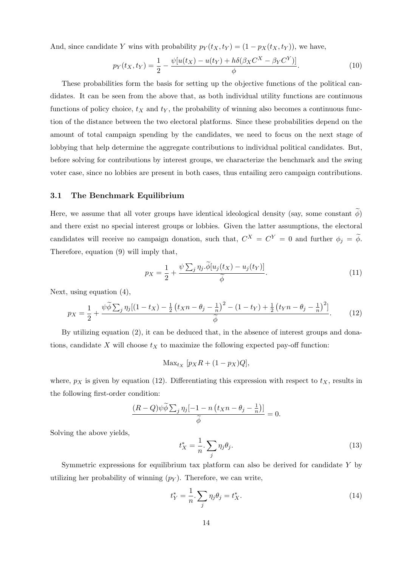And, since candidate Y wins with probability  $p_Y(t_X, t_Y) = (1 - p_X(t_X, t_Y))$ , we have,

$$
p_Y(t_X, t_Y) = \frac{1}{2} - \frac{\psi[u(t_X) - u(t_Y) + h\delta(\beta_X C^X - \beta_Y C^Y)]}{\phi}.
$$
\n(10)

These probabilities form the basis for setting up the objective functions of the political candidates. It can be seen from the above that, as both individual utility functions are continuous functions of policy choice,  $t_X$  and  $t_Y$ , the probability of winning also becomes a continuous function of the distance between the two electoral platforms. Since these probabilities depend on the amount of total campaign spending by the candidates, we need to focus on the next stage of lobbying that help determine the aggregate contributions to individual political candidates. But, before solving for contributions by interest groups, we characterize the benchmark and the swing voter case, since no lobbies are present in both cases, thus entailing zero campaign contributions.

### 3.1 The Benchmark Equilibrium

Here, we assume that all voter groups have identical ideological density (say, some constant  $\phi$ ) and there exist no special interest groups or lobbies. Given the latter assumptions, the electoral candidates will receive no campaign donation, such that,  $C^X = C^Y = 0$  and further  $\phi_j = \phi$ . Therefore, equation (9) will imply that,

$$
p_X = \frac{1}{2} + \frac{\psi \sum_j \eta_j . \overline{\phi}[u_j(t_X) - u_j(t_Y)]}{\widetilde{\phi}}.
$$
\n(11)

Next, using equation (4),

$$
p_X = \frac{1}{2} + \frac{\psi \tilde{\phi} \sum_j \eta_j [(1 - t_X) - \frac{1}{2} (t_X n - \theta_j - \frac{1}{n})^2 - (1 - t_Y) + \frac{1}{2} (t_Y n - \theta_j - \frac{1}{n})^2]}{\tilde{\phi}}.
$$
 (12)

By utilizing equation (2), it can be deduced that, in the absence of interest groups and donations, candidate X will choose  $t_X$  to maximize the following expected pay-off function:

$$
\text{Max}_{t_X} [p_X R + (1 - p_X) Q],
$$

where,  $p_X$  is given by equation (12). Differentiating this expression with respect to  $t_X$ , results in the following first-order condition:

$$
\frac{(R-Q)\psi\widetilde{\phi}\sum_{j}\eta_{j}[-1-n\left(t_{X}n-\theta_{j}-\frac{1}{n}\right)]}{\widetilde{\phi}}=0.
$$

Solving the above yields,

$$
t_X^* = \frac{1}{n} \cdot \sum_j \eta_j \theta_j. \tag{13}
$$

Symmetric expressions for equilibrium tax platform can also be derived for candidate Y by utilizing her probability of winning  $(p<sub>Y</sub>)$ . Therefore, we can write,

$$
t_Y^* = \frac{1}{n} \cdot \sum_j \eta_j \theta_j = t_X^*.
$$
 (14)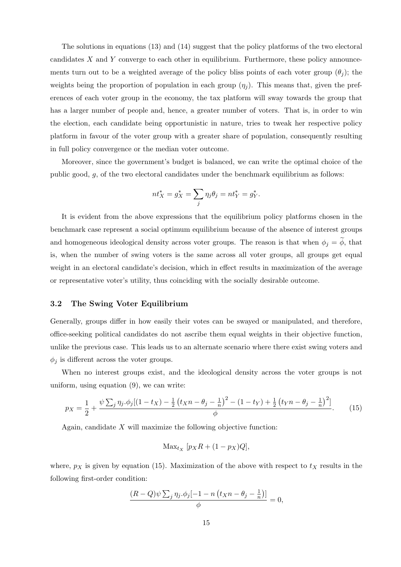The solutions in equations (13) and (14) suggest that the policy platforms of the two electoral candidates X and Y converge to each other in equilibrium. Furthermore, these policy announcements turn out to be a weighted average of the policy bliss points of each voter group  $(\theta_i)$ ; the weights being the proportion of population in each group  $(\eta_i)$ . This means that, given the preferences of each voter group in the economy, the tax platform will sway towards the group that has a larger number of people and, hence, a greater number of voters. That is, in order to win the election, each candidate being opportunistic in nature, tries to tweak her respective policy platform in favour of the voter group with a greater share of population, consequently resulting in full policy convergence or the median voter outcome.

Moreover, since the government's budget is balanced, we can write the optimal choice of the public good, g, of the two electoral candidates under the benchmark equilibrium as follows:

$$
nt_X^* = g_X^* = \sum_j \eta_j \theta_j = nt_Y^* = g_Y^*.
$$

It is evident from the above expressions that the equilibrium policy platforms chosen in the benchmark case represent a social optimum equilibrium because of the absence of interest groups and homogeneous ideological density across voter groups. The reason is that when  $\phi_j = \phi$ , that is, when the number of swing voters is the same across all voter groups, all groups get equal weight in an electoral candidate's decision, which in effect results in maximization of the average or representative voter's utility, thus coinciding with the socially desirable outcome.

#### 3.2 The Swing Voter Equilibrium

Generally, groups differ in how easily their votes can be swayed or manipulated, and therefore, office-seeking political candidates do not ascribe them equal weights in their objective function, unlike the previous case. This leads us to an alternate scenario where there exist swing voters and  $\phi_j$  is different across the voter groups.

When no interest groups exist, and the ideological density across the voter groups is not uniform, using equation (9), we can write:

$$
p_X = \frac{1}{2} + \frac{\psi \sum_j \eta_j . \phi_j [(1 - t_X) - \frac{1}{2} (t_X n - \theta_j - \frac{1}{n})^2 - (1 - t_Y) + \frac{1}{2} (t_Y n - \theta_j - \frac{1}{n})^2]}{\phi}.
$$
 (15)

Again, candidate  $X$  will maximize the following objective function:

$$
\text{Max}_{t_X} \ [p_X R + (1 - p_X)Q],
$$

where,  $p_X$  is given by equation (15). Maximization of the above with respect to  $t_X$  results in the following first-order condition:

$$
\frac{(R-Q)\psi\sum_{j}\eta_{j}.\phi_{j}[-1-n\left(t_{X}n-\theta_{j}-\frac{1}{n}\right)]}{\phi}=0,
$$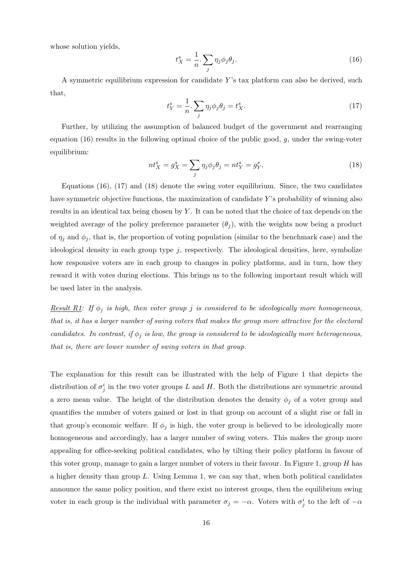whose solution yields,

$$
t_X^s = \frac{1}{n} \cdot \sum_j \eta_j \phi_j \theta_j. \tag{16}
$$

A symmetric equilibrium expression for candidate Y 's tax platform can also be derived, such that,

$$
t_Y^s = \frac{1}{n} \cdot \sum_j \eta_j \phi_j \theta_j = t_X^s. \tag{17}
$$

Further, by utilizing the assumption of balanced budget of the government and rearranging equation (16) results in the following optimal choice of the public good,  $g$ , under the swing-voter equilibrium:

$$
nt_X^s = g_X^s = \sum_j \eta_j \phi_j \theta_j = nt_Y^s = g_Y^s. \tag{18}
$$

Equations (16), (17) and (18) denote the swing voter equilibrium. Since, the two candidates have symmetric objective functions, the maximization of candidate  $Y$ 's probability of winning also results in an identical tax being chosen by Y. It can be noted that the choice of tax depends on the weighted average of the policy preference parameter  $(\theta_i)$ , with the weights now being a product of  $\eta_i$  and  $\phi_i$ , that is, the proportion of voting population (similar to the benchmark case) and the ideological density in each group type  $j$ , respectively. The ideological densities, here, symbolize how responsive voters are in each group to changes in policy platforms, and in turn, how they reward it with votes during elections. This brings us to the following important result which will be used later in the analysis.

<u>Result R1</u>: If  $\phi_i$  is high, then voter group j is considered to be ideologically more homogeneous, that is, it has a larger number of swing voters that makes the group more attractive for the electoral candidates. In contrast, if  $\phi_j$  is low, the group is considered to be ideologically more heterogeneous, that is, there are lower number of swing voters in that group.

The explanation for this result can be illustrated with the help of Figure 1 that depicts the distribution of  $\sigma_j^i$  in the two voter groups L and H. Both the distributions are symmetric around a zero mean value. The height of the distribution denotes the density  $\phi_i$  of a voter group and quantifies the number of voters gained or lost in that group on account of a slight rise or fall in that group's economic welfare. If  $\phi_i$  is high, the voter group is believed to be ideologically more homogeneous and accordingly, has a larger number of swing voters. This makes the group more appealing for office-seeking political candidates, who by tilting their policy platform in favour of this voter group, manage to gain a larger number of voters in their favour. In Figure 1, group H has a higher density than group  $L$ . Using Lemma 1, we can say that, when both political candidates announce the same policy position, and there exist no interest groups, then the equilibrium swing voter in each group is the individual with parameter  $\sigma_j = -\alpha$ . Voters with  $\sigma_j^i$  to the left of  $-\alpha$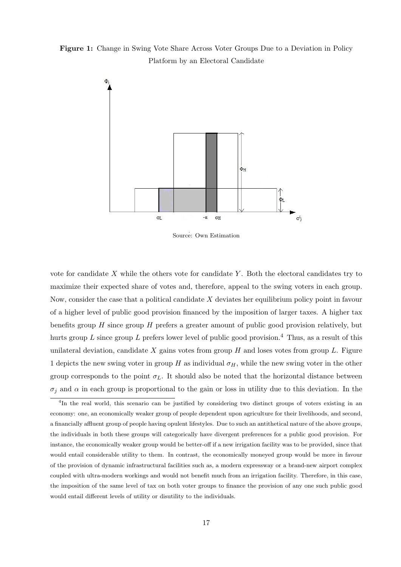Figure 1: Change in Swing Vote Share Across Voter Groups Due to a Deviation in Policy Platform by an Electoral Candidate



Source: Own Estimation

vote for candidate  $X$  while the others vote for candidate  $Y$ . Both the electoral candidates try to maximize their expected share of votes and, therefore, appeal to the swing voters in each group. Now, consider the case that a political candidate X deviates her equilibrium policy point in favour of a higher level of public good provision financed by the imposition of larger taxes. A higher tax benefits group  $H$  since group  $H$  prefers a greater amount of public good provision relatively, but hurts group L since group L prefers lower level of public good provision.<sup>4</sup> Thus, as a result of this unilateral deviation, candidate X gains votes from group  $H$  and loses votes from group  $L$ . Figure 1 depicts the new swing voter in group H as individual  $\sigma_H$ , while the new swing voter in the other group corresponds to the point  $\sigma_L$ . It should also be noted that the horizontal distance between  $\sigma_i$  and  $\alpha$  in each group is proportional to the gain or loss in utility due to this deviation. In the

<sup>&</sup>lt;sup>4</sup>In the real world, this scenario can be justified by considering two distinct groups of voters existing in an economy: one, an economically weaker group of people dependent upon agriculture for their livelihoods, and second, a financially affluent group of people having opulent lifestyles. Due to such an antithetical nature of the above groups, the individuals in both these groups will categorically have divergent preferences for a public good provision. For instance, the economically weaker group would be better-off if a new irrigation facility was to be provided, since that would entail considerable utility to them. In contrast, the economically moneyed group would be more in favour of the provision of dynamic infrastructural facilities such as, a modern expressway or a brand-new airport complex coupled with ultra-modern workings and would not benefit much from an irrigation facility. Therefore, in this case, the imposition of the same level of tax on both voter groups to finance the provision of any one such public good would entail different levels of utility or disutility to the individuals.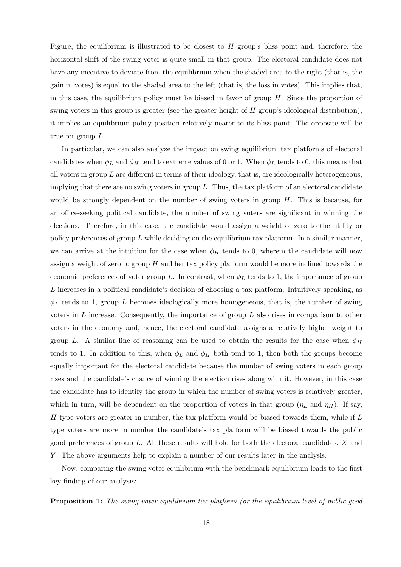Figure, the equilibrium is illustrated to be closest to  $H$  group's bliss point and, therefore, the horizontal shift of the swing voter is quite small in that group. The electoral candidate does not have any incentive to deviate from the equilibrium when the shaded area to the right (that is, the gain in votes) is equal to the shaded area to the left (that is, the loss in votes). This implies that, in this case, the equilibrium policy must be biased in favor of group  $H$ . Since the proportion of swing voters in this group is greater (see the greater height of H group's ideological distribution), it implies an equilibrium policy position relatively nearer to its bliss point. The opposite will be true for group L.

In particular, we can also analyze the impact on swing equilibrium tax platforms of electoral candidates when  $\phi_L$  and  $\phi_H$  tend to extreme values of 0 or 1. When  $\phi_L$  tends to 0, this means that all voters in group  $L$  are different in terms of their ideology, that is, are ideologically heterogeneous, implying that there are no swing voters in group  $L$ . Thus, the tax platform of an electoral candidate would be strongly dependent on the number of swing voters in group  $H$ . This is because, for an office-seeking political candidate, the number of swing voters are significant in winning the elections. Therefore, in this case, the candidate would assign a weight of zero to the utility or policy preferences of group  $L$  while deciding on the equilibrium tax platform. In a similar manner, we can arrive at the intuition for the case when  $\phi_H$  tends to 0, wherein the candidate will now assign a weight of zero to group  $H$  and her tax policy platform would be more inclined towards the economic preferences of voter group L. In contrast, when  $\phi_L$  tends to 1, the importance of group L increases in a political candidate's decision of choosing a tax platform. Intuitively speaking, as  $\phi_L$  tends to 1, group L becomes ideologically more homogeneous, that is, the number of swing voters in  $L$  increase. Consequently, the importance of group  $L$  also rises in comparison to other voters in the economy and, hence, the electoral candidate assigns a relatively higher weight to group L. A similar line of reasoning can be used to obtain the results for the case when  $\phi_H$ tends to 1. In addition to this, when  $\phi_L$  and  $\phi_H$  both tend to 1, then both the groups become equally important for the electoral candidate because the number of swing voters in each group rises and the candidate's chance of winning the election rises along with it. However, in this case the candidate has to identify the group in which the number of swing voters is relatively greater, which in turn, will be dependent on the proportion of voters in that group  $(\eta_L$  and  $\eta_H)$ . If say, H type voters are greater in number, the tax platform would be biased towards them, while if  $L$ type voters are more in number the candidate's tax platform will be biased towards the public good preferences of group L. All these results will hold for both the electoral candidates, X and Y . The above arguments help to explain a number of our results later in the analysis.

Now, comparing the swing voter equilibrium with the benchmark equilibrium leads to the first key finding of our analysis:

**Proposition 1:** The swing voter equilibrium tax platform (or the equilibrium level of public good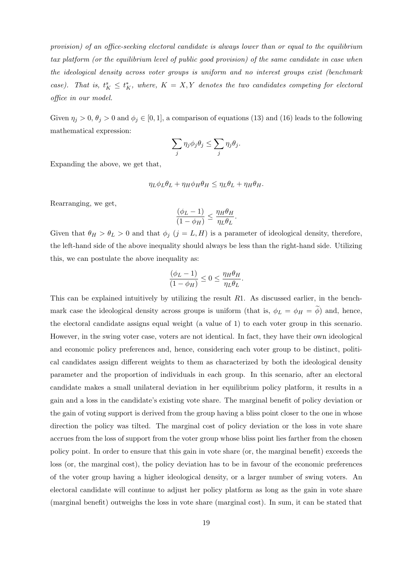provision) of an office-seeking electoral candidate is always lower than or equal to the equilibrium tax platform (or the equilibrium level of public good provision) of the same candidate in case when the ideological density across voter groups is uniform and no interest groups exist (benchmark case). That is,  $t_K^s \leq t_K^*$ , where,  $K = X, Y$  denotes the two candidates competing for electoral office in our model.

Given  $\eta_j > 0$ ,  $\theta_j > 0$  and  $\phi_j \in [0, 1]$ , a comparison of equations (13) and (16) leads to the following mathematical expression:

$$
\sum_j \eta_j \phi_j \theta_j \leq \sum_j \eta_j \theta_j.
$$

Expanding the above, we get that,

$$
\eta_L \phi_L \theta_L + \eta_H \phi_H \theta_H \leq \eta_L \theta_L + \eta_H \theta_H.
$$

Rearranging, we get,

$$
\frac{(\phi_L - 1)}{(1 - \phi_H)} \le \frac{\eta_H \theta_H}{\eta_L \theta_L}.
$$

Given that  $\theta_H > \theta_L > 0$  and that  $\phi_j$   $(j = L, H)$  is a parameter of ideological density, therefore, the left-hand side of the above inequality should always be less than the right-hand side. Utilizing this, we can postulate the above inequality as:

$$
\frac{(\phi_L - 1)}{(1 - \phi_H)} \le 0 \le \frac{\eta_H \theta_H}{\eta_L \theta_L}.
$$

This can be explained intuitively by utilizing the result R1. As discussed earlier, in the benchmark case the ideological density across groups is uniform (that is,  $\phi_L = \phi_H = \tilde{\phi}$ ) and, hence, the electoral candidate assigns equal weight (a value of 1) to each voter group in this scenario. However, in the swing voter case, voters are not identical. In fact, they have their own ideological and economic policy preferences and, hence, considering each voter group to be distinct, political candidates assign different weights to them as characterized by both the ideological density parameter and the proportion of individuals in each group. In this scenario, after an electoral candidate makes a small unilateral deviation in her equilibrium policy platform, it results in a gain and a loss in the candidate's existing vote share. The marginal benefit of policy deviation or the gain of voting support is derived from the group having a bliss point closer to the one in whose direction the policy was tilted. The marginal cost of policy deviation or the loss in vote share accrues from the loss of support from the voter group whose bliss point lies farther from the chosen policy point. In order to ensure that this gain in vote share (or, the marginal benefit) exceeds the loss (or, the marginal cost), the policy deviation has to be in favour of the economic preferences of the voter group having a higher ideological density, or a larger number of swing voters. An electoral candidate will continue to adjust her policy platform as long as the gain in vote share (marginal benefit) outweighs the loss in vote share (marginal cost). In sum, it can be stated that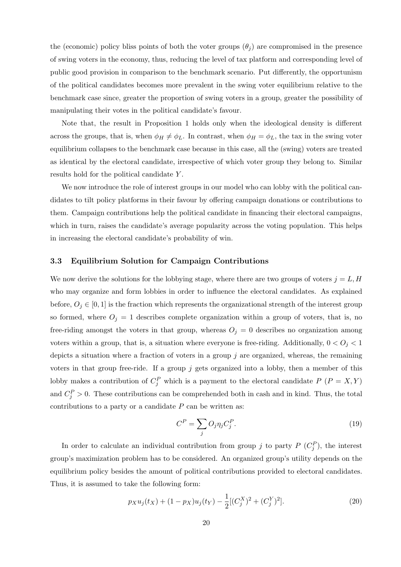the (economic) policy bliss points of both the voter groups  $(\theta_i)$  are compromised in the presence of swing voters in the economy, thus, reducing the level of tax platform and corresponding level of public good provision in comparison to the benchmark scenario. Put differently, the opportunism of the political candidates becomes more prevalent in the swing voter equilibrium relative to the benchmark case since, greater the proportion of swing voters in a group, greater the possibility of manipulating their votes in the political candidate's favour.

Note that, the result in Proposition 1 holds only when the ideological density is different across the groups, that is, when  $\phi_H \neq \phi_L$ . In contrast, when  $\phi_H = \phi_L$ , the tax in the swing voter equilibrium collapses to the benchmark case because in this case, all the (swing) voters are treated as identical by the electoral candidate, irrespective of which voter group they belong to. Similar results hold for the political candidate Y .

We now introduce the role of interest groups in our model who can lobby with the political candidates to tilt policy platforms in their favour by offering campaign donations or contributions to them. Campaign contributions help the political candidate in financing their electoral campaigns, which in turn, raises the candidate's average popularity across the voting population. This helps in increasing the electoral candidate's probability of win.

### 3.3 Equilibrium Solution for Campaign Contributions

We now derive the solutions for the lobbying stage, where there are two groups of voters  $j = L, H$ who may organize and form lobbies in order to influence the electoral candidates. As explained before,  $O_j \in [0, 1]$  is the fraction which represents the organizational strength of the interest group so formed, where  $O_j = 1$  describes complete organization within a group of voters, that is, no free-riding amongst the voters in that group, whereas  $O_j = 0$  describes no organization among voters within a group, that is, a situation where everyone is free-riding. Additionally,  $0 < O_j < 1$ depicts a situation where a fraction of voters in a group j are organized, whereas, the remaining voters in that group free-ride. If a group  $j$  gets organized into a lobby, then a member of this lobby makes a contribution of  $C_j^P$  which is a payment to the electoral candidate  $P(P = X, Y)$ and  $C_j^P > 0$ . These contributions can be comprehended both in cash and in kind. Thus, the total contributions to a party or a candidate  $P$  can be written as:

$$
C^P = \sum_j O_j \eta_j C_j^P. \tag{19}
$$

In order to calculate an individual contribution from group j to party  $P(C_j^P)$ , the interest group's maximization problem has to be considered. An organized group's utility depends on the equilibrium policy besides the amount of political contributions provided to electoral candidates. Thus, it is assumed to take the following form:

$$
p_X u_j(t_X) + (1 - p_X)u_j(t_Y) - \frac{1}{2}[(C_j^X)^2 + (C_j^Y)^2].
$$
\n(20)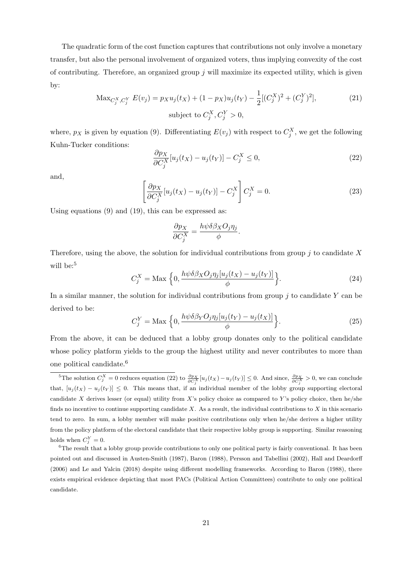The quadratic form of the cost function captures that contributions not only involve a monetary transfer, but also the personal involvement of organized voters, thus implying convexity of the cost of contributing. Therefore, an organized group  $j$  will maximize its expected utility, which is given by:

$$
\text{Max}_{C_j^X, C_j^Y} E(v_j) = p_X u_j(t_X) + (1 - p_X) u_j(t_Y) - \frac{1}{2} [(C_j^X)^2 + (C_j^Y)^2],
$$
\n
$$
\text{subject to } C_j^X, C_j^Y > 0,
$$
\n
$$
(21)
$$

where,  $p_X$  is given by equation (9). Differentiating  $E(v_j)$  with respect to  $C_j^X$ , we get the following Kuhn-Tucker conditions:

$$
\frac{\partial p_X}{\partial C_j^X}[u_j(t_X) - u_j(t_Y)] - C_j^X \le 0,
$$
\n(22)

and,

$$
\left[\frac{\partial p_X}{\partial C_j^X}[u_j(t_X) - u_j(t_Y)] - C_j^X\right]C_j^X = 0.
$$
\n(23)

Using equations (9) and (19), this can be expressed as:

$$
\frac{\partial p_X}{\partial C_j^X} = \frac{h\psi\delta\beta_X O_j\eta_j}{\phi}
$$

Therefore, using the above, the solution for individual contributions from group  $j$  to candidate X will be:<sup>5</sup>

$$
C_j^X = \text{Max} \left\{ 0, \frac{h\psi \delta \beta_X O_j \eta_j [u_j(t_X) - u_j(t_Y)]}{\phi} \right\}.
$$
 (24)

.

In a similar manner, the solution for individual contributions from group  $j$  to candidate Y can be derived to be:

$$
C_j^Y = \text{Max} \left\{ 0, \frac{h\psi\delta\beta_Y O_j \eta_j[u_j(t_Y) - u_j(t_X)]}{\phi} \right\}.
$$
 (25)

From the above, it can be deduced that a lobby group donates only to the political candidate whose policy platform yields to the group the highest utility and never contributes to more than one political candidate.<sup>6</sup>

<sup>&</sup>lt;sup>5</sup>The solution  $C_j^X = 0$  reduces equation (22) to  $\frac{\partial p_X}{\partial C_j^X} [u_j(t_X) - u_j(t_Y)] \leq 0$ . And since,  $\frac{\partial p_X}{\partial C_j^X} > 0$ , we can conclude that,  $[u_j(t_X) - u_j(t_Y)] \leq 0$ . This means that, if an individual member of the lobby group supporting electoral candidate X derives lesser (or equal) utility from X's policy choice as compared to Y's policy choice, then he/she finds no incentive to continue supporting candidate  $X$ . As a result, the individual contributions to  $X$  in this scenario tend to zero. In sum, a lobby member will make positive contributions only when he/she derives a higher utility from the policy platform of the electoral candidate that their respective lobby group is supporting. Similar reasoning holds when  $C_j^Y=0$ .

 ${}^{6}$ The result that a lobby group provide contributions to only one political party is fairly conventional. It has been pointed out and discussed in Austen-Smith (1987), Baron (1988), Persson and Tabellini (2002), Hall and Deardorff (2006) and Le and Yalcin (2018) despite using different modelling frameworks. According to Baron (1988), there exists empirical evidence depicting that most PACs (Political Action Committees) contribute to only one political candidate.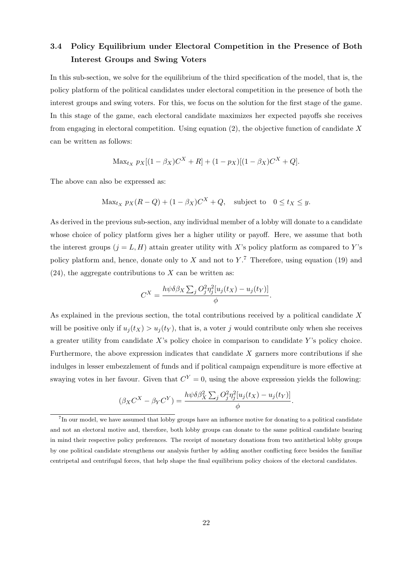# 3.4 Policy Equilibrium under Electoral Competition in the Presence of Both Interest Groups and Swing Voters

In this sub-section, we solve for the equilibrium of the third specification of the model, that is, the policy platform of the political candidates under electoral competition in the presence of both the interest groups and swing voters. For this, we focus on the solution for the first stage of the game. In this stage of the game, each electoral candidate maximizes her expected payoffs she receives from engaging in electoral competition. Using equation  $(2)$ , the objective function of candidate X can be written as follows:

$$
\text{Max}_{t_X} \ p_X[(1 - \beta_X)C^X + R] + (1 - p_X)[(1 - \beta_X)C^X + Q].
$$

The above can also be expressed as:

$$
\text{Max}_{t_X} \ p_X(R - Q) + (1 - \beta_X)C^X + Q, \quad \text{subject to} \quad 0 \le t_X \le y.
$$

As derived in the previous sub-section, any individual member of a lobby will donate to a candidate whose choice of policy platform gives her a higher utility or payoff. Here, we assume that both the interest groups  $(j = L, H)$  attain greater utility with X's policy platform as compared to Y's policy platform and, hence, donate only to  $X$  and not to  $Y$ .<sup>7</sup> Therefore, using equation (19) and  $(24)$ , the aggregate contributions to X can be written as:

$$
C^{X} = \frac{h\psi\delta\beta_{X}\sum_{j}O_{j}^{2}\eta_{j}^{2}[u_{j}(t_{X}) - u_{j}(t_{Y})]}{\phi}.
$$

As explained in the previous section, the total contributions received by a political candidate X will be positive only if  $u_i(t_X) > u_i(t_Y)$ , that is, a voter j would contribute only when she receives a greater utility from candidate  $X$ 's policy choice in comparison to candidate  $Y$ 's policy choice. Furthermore, the above expression indicates that candidate  $X$  garners more contributions if she indulges in lesser embezzlement of funds and if political campaign expenditure is more effective at swaying votes in her favour. Given that  $C^{Y} = 0$ , using the above expression yields the following:

$$
(\beta_X C^X - \beta_Y C^Y) = \frac{h\psi \delta \beta_X^2 \sum_j O_j^2 \eta_j^2 [u_j(t_X) - u_j(t_Y)]}{\phi}.
$$

<sup>&</sup>lt;sup>7</sup>In our model, we have assumed that lobby groups have an influence motive for donating to a political candidate and not an electoral motive and, therefore, both lobby groups can donate to the same political candidate bearing in mind their respective policy preferences. The receipt of monetary donations from two antithetical lobby groups by one political candidate strengthens our analysis further by adding another conflicting force besides the familiar centripetal and centrifugal forces, that help shape the final equilibrium policy choices of the electoral candidates.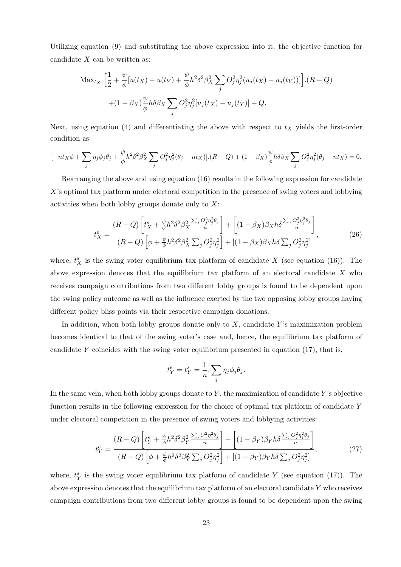Utilizing equation (9) and substituting the above expression into it, the objective function for candidate  $X$  can be written as:

$$
\text{Max}_{t_X} \left[ \frac{1}{2} + \frac{\psi}{\phi} [u(t_X) - u(t_Y) + \frac{\psi}{\phi} h^2 \delta^2 \beta_X^2 \sum_j O_j^2 \eta_j^2 (u_j(t_X) - u_j(t_Y))] \right] \cdot (R - Q) + (1 - \beta_X) \frac{\psi}{\phi} h \delta \beta_X \sum_j O_j^2 \eta_j^2 [u_j(t_X) - u_j(t_Y)] + Q.
$$

Next, using equation (4) and differentiating the above with respect to  $t<sub>X</sub>$  yields the first-order condition as:

$$
[-nt_X\phi + \sum_j \eta_j \phi_j \theta_j + \frac{\psi}{\phi} h^2 \delta^2 \beta_X^2 \sum_j O_j^2 \eta_j^2 (\theta_j - nt_X)].(R - Q) + (1 - \beta_X) \frac{\psi}{\phi} h \delta \beta_X \sum_j O_j^2 \eta_j^2 (\theta_j - nt_X) = 0.
$$

Rearranging the above and using equation (16) results in the following expression for candidate X's optimal tax platform under electoral competition in the presence of swing voters and lobbying activities when both lobby groups donate only to  $X$ :

$$
t_X^e = \frac{(R-Q)\left[t_X^s + \frac{\psi}{\phi}h^2\delta^2\beta_X^2\frac{\sum_j O_j^2\eta_j^2\theta_j}{n}\right] + \left[(1-\beta_X)\beta_Xh\delta\frac{\sum_j O_j^2\eta_j^2\theta_j}{n}\right]}{(R-Q)\left[\phi + \frac{\psi}{\phi}h^2\delta^2\beta_X^2\sum_j O_j^2\eta_j^2\right] + \left[(1-\beta_X)\beta_Xh\delta\sum_j O_j^2\eta_j^2\right]},
$$
(26)

where,  $t_X^s$  is the swing voter equilibrium tax platform of candidate X (see equation (16)). The above expression denotes that the equilibrium tax platform of an electoral candidate X who receives campaign contributions from two different lobby groups is found to be dependent upon the swing policy outcome as well as the influence exerted by the two opposing lobby groups having different policy bliss points via their respective campaign donations.

In addition, when both lobby groups donate only to  $X$ , candidate Y's maximization problem becomes identical to that of the swing voter's case and, hence, the equilibrium tax platform of candidate Y coincides with the swing voter equilibrium presented in equation  $(17)$ , that is,

$$
t_Y^e = t_Y^s = \frac{1}{n} \cdot \sum_j \eta_j \phi_j \theta_j.
$$

In the same vein, when both lobby groups donate to  $Y$ , the maximization of candidate  $Y$ 's objective function results in the following expression for the choice of optimal tax platform of candidate Y under electoral competition in the presence of swing voters and lobbying activities:

$$
t_Y^e = \frac{(R-Q)\left[t_Y^s + \frac{\psi}{\phi}h^2\delta^2\beta_Y^2\frac{\sum_j O_j^2\eta_j^2\theta_j}{n}\right] + \left[(1-\beta_Y)\beta_Yh\delta\frac{\sum_j O_j^2\eta_j^2\theta_j}{n}\right]}{(R-Q)\left[\phi + \frac{\psi}{\phi}h^2\delta^2\beta_Y^2\sum_j O_j^2\eta_j^2\right] + \left[(1-\beta_Y)\beta_Yh\delta\sum_j O_j^2\eta_j^2\right]},
$$
\n(27)

where,  $t_Y^s$  is the swing voter equilibrium tax platform of candidate Y (see equation (17)). The above expression denotes that the equilibrium tax platform of an electoral candidate  $Y$  who receives campaign contributions from two different lobby groups is found to be dependent upon the swing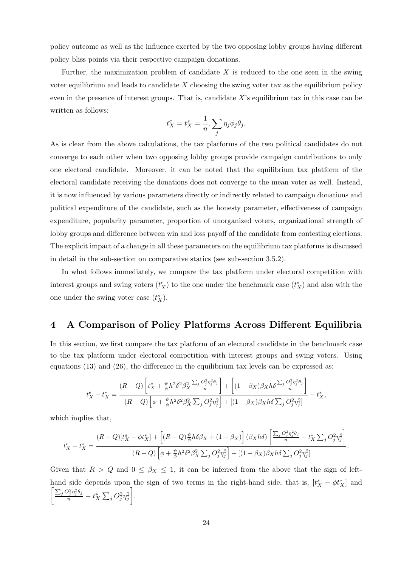policy outcome as well as the influence exerted by the two opposing lobby groups having different policy bliss points via their respective campaign donations.

Further, the maximization problem of candidate  $X$  is reduced to the one seen in the swing voter equilibrium and leads to candidate  $X$  choosing the swing voter tax as the equilibrium policy even in the presence of interest groups. That is, candidate X's equilibrium tax in this case can be written as follows:

$$
t_X^e = t_X^s = \frac{1}{n} \cdot \sum_j \eta_j \phi_j \theta_j.
$$

As is clear from the above calculations, the tax platforms of the two political candidates do not converge to each other when two opposing lobby groups provide campaign contributions to only one electoral candidate. Moreover, it can be noted that the equilibrium tax platform of the electoral candidate receiving the donations does not converge to the mean voter as well. Instead, it is now influenced by various parameters directly or indirectly related to campaign donations and political expenditure of the candidate, such as the honesty parameter, effectiveness of campaign expenditure, popularity parameter, proportion of unorganized voters, organizational strength of lobby groups and difference between win and loss payoff of the candidate from contesting elections. The explicit impact of a change in all these parameters on the equilibrium tax platforms is discussed in detail in the sub-section on comparative statics (see sub-section 3.5.2).

In what follows immediately, we compare the tax platform under electoral competition with interest groups and swing voters  $(t_X^e)$  to the one under the benchmark case  $(t_X^*)$  and also with the one under the swing voter case  $(t_X^s)$ .

### 4 A Comparison of Policy Platforms Across Different Equilibria

In this section, we first compare the tax platform of an electoral candidate in the benchmark case to the tax platform under electoral competition with interest groups and swing voters. Using equations (13) and (26), the difference in the equilibrium tax levels can be expressed as:

$$
t^e_X-t^*_X=\frac{(R-Q)\left[t_X^s+\frac{\psi}{\phi}h^2\delta^2\beta^2_X\frac{\sum_jO^2_j\eta^2_j\theta_j}{n}\right]+\left[(1-\beta_X)\beta_Xh\delta\frac{\sum_jO^2_j\eta^2_j\theta_j}{n}\right]}{(R-Q)\left[\phi+\frac{\psi}{\phi}h^2\delta^2\beta^2_X\sum_jO^2_j\eta^2_j\right]+[(1-\beta_X)\beta_Xh\delta\sum_jO^2_j\eta^2_j]}\,-t^*_X,
$$

which implies that,

$$
t_X^e - t_X^* = \frac{(R-Q)[t_X^s - \phi t_X^*] + \left[ (R-Q)\frac{\psi}{\phi}h\delta\beta_X + (1-\beta_X) \right] (\beta_X h\delta) \left[ \frac{\sum_j O_j^2 \eta_j^2 \theta_j}{n} - t_X^* \sum_j O_j^2 \eta_j^2 \right]}{(R-Q)\left[\phi + \frac{\psi}{\phi}h^2 \delta^2 \beta_X^2 \sum_j O_j^2 \eta_j^2\right] + \left[ (1-\beta_X)\beta_X h\delta \sum_j O_j^2 \eta_j^2 \right]}.
$$

Given that  $R > Q$  and  $0 \leq \beta_X \leq 1$ , it can be inferred from the above that the sign of lefthand side depends upon the sign of two terms in the right-hand side, that is,  $[t_X^s - \phi t_X^*]$  and  $\bigg[\frac{\sum_j O_j^2\eta_j^2\theta_j}{n} - t_X^*\sum_j O_j^2\eta_j^2$ .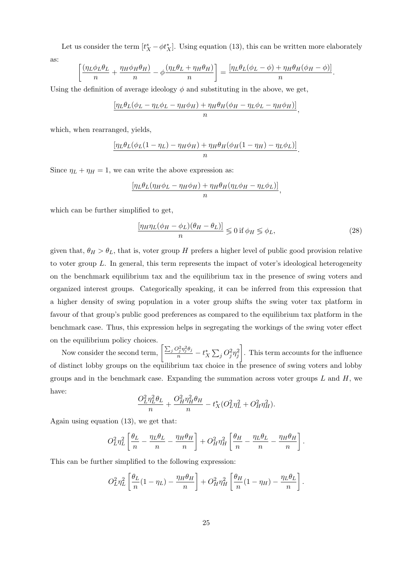Let us consider the term  $[t_X^s - \phi t_X^*]$ . Using equation (13), this can be written more elaborately

as:

$$
\left[\frac{(\eta_L \phi_L \theta_L}{n} + \frac{\eta_H \phi_H \theta_H)}{n} - \phi \frac{(\eta_L \theta_L + \eta_H \theta_H)}{n}\right] = \frac{[\eta_L \theta_L (\phi_L - \phi) + \eta_H \theta_H (\phi_H - \phi)]}{n}.
$$

Using the definition of average ideology  $\phi$  and substituting in the above, we get,

$$
\frac{\left[\eta_L \theta_L (\phi_L - \eta_L \phi_L - \eta_H \phi_H) + \eta_H \theta_H (\phi_H - \eta_L \phi_L - \eta_H \phi_H)\right]}{n},
$$

which, when rearranged, yields,

$$
\frac{\left[\eta_L \theta_L (\phi_L (1 - \eta_L) - \eta_H \phi_H) + \eta_H \theta_H (\phi_H (1 - \eta_H) - \eta_L \phi_L)\right]}{n}.
$$

Since  $\eta_L + \eta_H = 1$ , we can write the above expression as:

$$
\frac{\left[\eta_L \theta_L (\eta_H \phi_L - \eta_H \phi_H) + \eta_H \theta_H (\eta_L \phi_H - \eta_L \phi_L)\right]}{n},
$$

which can be further simplified to get,

$$
\frac{\left[\eta_{H}\eta_{L}(\phi_{H} - \phi_{L})(\theta_{H} - \theta_{L})\right]}{n} \leqslant 0 \text{ if } \phi_{H} \leqslant \phi_{L},\tag{28}
$$

given that,  $\theta_H > \theta_L$ , that is, voter group H prefers a higher level of public good provision relative to voter group L. In general, this term represents the impact of voter's ideological heterogeneity on the benchmark equilibrium tax and the equilibrium tax in the presence of swing voters and organized interest groups. Categorically speaking, it can be inferred from this expression that a higher density of swing population in a voter group shifts the swing voter tax platform in favour of that group's public good preferences as compared to the equilibrium tax platform in the benchmark case. Thus, this expression helps in segregating the workings of the swing voter effect on the equilibrium policy choices.

Now consider the second term,  $\left[\frac{\sum_j Q_j^2 \eta_j^2 \theta_j}{n} - t_X^* \sum_j Q_j^2 \eta_j^2\right]$  . This term accounts for the influence of distinct lobby groups on the equilibrium tax choice in the presence of swing voters and lobby groups and in the benchmark case. Expanding the summation across voter groups  $L$  and  $H$ , we have:

$$
\frac{O_L^2 \eta_L^2 \theta_L}{n} + \frac{O_H^2 \eta_H^2 \theta_H}{n} - t_X^* (O_L^2 \eta_L^2 + O_H^2 \eta_H^2).
$$

Again using equation (13), we get that:

$$
O_L^2 \eta_L^2 \left[ \frac{\theta_L}{n} - \frac{\eta_L \theta_L}{n} - \frac{\eta_H \theta_H}{n} \right] + O_H^2 \eta_H^2 \left[ \frac{\theta_H}{n} - \frac{\eta_L \theta_L}{n} - \frac{\eta_H \theta_H}{n} \right].
$$

This can be further simplified to the following expression:

$$
O_L^2 \eta_L^2 \left[ \frac{\theta_L}{n} (1 - \eta_L) - \frac{\eta_H \theta_H}{n} \right] + O_H^2 \eta_H^2 \left[ \frac{\theta_H}{n} (1 - \eta_H) - \frac{\eta_L \theta_L}{n} \right].
$$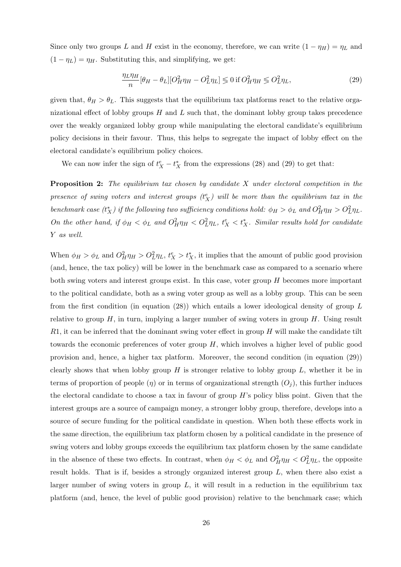Since only two groups L and H exist in the economy, therefore, we can write  $(1 - \eta_H) = \eta_L$  and  $(1 - \eta_L) = \eta_H$ . Substituting this, and simplifying, we get:

$$
\frac{\eta_L \eta_H}{n} [\theta_H - \theta_L] [O_H^2 \eta_H - O_L^2 \eta_L] \leq 0 \text{ if } O_H^2 \eta_H \leq O_L^2 \eta_L,\tag{29}
$$

given that,  $\theta_H > \theta_L$ . This suggests that the equilibrium tax platforms react to the relative organizational effect of lobby groups  $H$  and  $L$  such that, the dominant lobby group takes precedence over the weakly organized lobby group while manipulating the electoral candidate's equilibrium policy decisions in their favour. Thus, this helps to segregate the impact of lobby effect on the electoral candidate's equilibrium policy choices.

We can now infer the sign of  $t_X^e - t_X^*$  from the expressions (28) and (29) to get that:

Proposition 2: The equilibrium tax chosen by candidate X under electoral competition in the presence of swing voters and interest groups  $(t_X^e)$  will be more than the equilibrium tax in the benchmark case  $(t_X^*)$  if the following two sufficiency conditions hold:  $\phi_H > \phi_L$  and  $O_H^2 \eta_H > O_L^2 \eta_L$ . On the other hand, if  $\phi_H < \phi_L$  and  $O_H^2 \eta_H < O_L^2 \eta_L$ ,  $t_X^e < t_X^*$ . Similar results hold for candidate Y as well.

When  $\phi_H > \phi_L$  and  $O_H^2 \eta_H > O_L^2 \eta_L$ ,  $t_X^e > t_X^*$ , it implies that the amount of public good provision (and, hence, the tax policy) will be lower in the benchmark case as compared to a scenario where both swing voters and interest groups exist. In this case, voter group H becomes more important to the political candidate, both as a swing voter group as well as a lobby group. This can be seen from the first condition (in equation (28)) which entails a lower ideological density of group L relative to group  $H$ , in turn, implying a larger number of swing voters in group  $H$ . Using result  $R1$ , it can be inferred that the dominant swing voter effect in group H will make the candidate tilt towards the economic preferences of voter group  $H$ , which involves a higher level of public good provision and, hence, a higher tax platform. Moreover, the second condition (in equation (29)) clearly shows that when lobby group  $H$  is stronger relative to lobby group  $L$ , whether it be in terms of proportion of people  $(\eta)$  or in terms of organizational strength  $(O_i)$ , this further induces the electoral candidate to choose a tax in favour of group  $H$ 's policy bliss point. Given that the interest groups are a source of campaign money, a stronger lobby group, therefore, develops into a source of secure funding for the political candidate in question. When both these effects work in the same direction, the equilibrium tax platform chosen by a political candidate in the presence of swing voters and lobby groups exceeds the equilibrium tax platform chosen by the same candidate in the absence of these two effects. In contrast, when  $\phi_H < \phi_L$  and  $O_H^2 \eta_H < O_L^2 \eta_L$ , the opposite result holds. That is if, besides a strongly organized interest group L, when there also exist a larger number of swing voters in group  $L$ , it will result in a reduction in the equilibrium tax platform (and, hence, the level of public good provision) relative to the benchmark case; which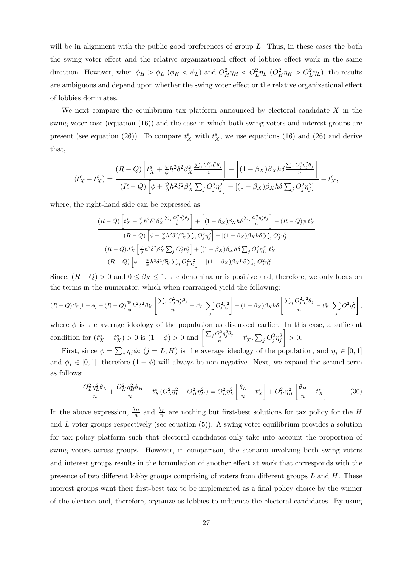will be in alignment with the public good preferences of group L. Thus, in these cases the both the swing voter effect and the relative organizational effect of lobbies effect work in the same direction. However, when  $\phi_H > \phi_L$  ( $\phi_H < \phi_L$ ) and  $O_H^2 \eta_H < O_L^2 \eta_L$  ( $O_H^2 \eta_H > O_L^2 \eta_L$ ), the results are ambiguous and depend upon whether the swing voter effect or the relative organizational effect of lobbies dominates.

We next compare the equilibrium tax platform announced by electoral candidate  $X$  in the swing voter case (equation (16)) and the case in which both swing voters and interest groups are present (see equation (26)). To compare  $t_X^e$  with  $t_X^s$ , we use equations (16) and (26) and derive that,

$$
(t^e_X - t^s_X) = \frac{(R-Q)\left[t^s_X + \frac{\psi}{\phi}h^2\delta^2\beta^2_X\frac{\sum_jO_j^2\eta_j^2\theta_j}{n}\right] + \left[(1-\beta_X)\beta_Xh\delta\frac{\sum_jO_j^2\eta_j^2\theta_j}{n}\right]}{(R-Q)\left[\phi + \frac{\psi}{\phi}h^2\delta^2\beta^2_X\sum_jO_j^2\eta_j^2\right] + \left[(1-\beta_X)\beta_Xh\delta\sum_jO_j^2\eta_j^2\right]} - t^s_X,
$$

where, the right-hand side can be expressed as:

$$
\frac{(R-Q)\left[t_X^s + \frac{\psi}{\phi}h^2\delta^2\beta_X^2\frac{\sum_jO_j^2\eta_j^2\theta_j}{n}\right] + \left[(1-\beta_X)\beta_Xh\delta\frac{\sum_jO_j^2\eta_j^2\theta_j}{n}\right] - (R-Q)\phi.t_X^s}{(R-Q)\left[\phi + \frac{\psi}{\phi}h^2\delta^2\beta_X^2\sum_jO_j^2\eta_j^2\right] + \left[(1-\beta_X)\beta_Xh\delta\sum_jO_j^2\eta_j^2\right]} - \frac{(R-Q).t_X^s\left[\frac{\psi}{\phi}h^2\delta^2\beta_X^2\sum_jO_j^2\eta_j^2\right] + \left[(1-\beta_X)\beta_Xh\delta\sum_jO_j^2\eta_j^2\right].t_X^s}{(R-Q)\left[\phi + \frac{\psi}{\phi}h^2\delta^2\beta_X^2\sum_jO_j^2\eta_j^2\right] + \left[(1-\beta_X)\beta_Xh\delta\sum_jO_j^2\eta_j^2\right]}.
$$

Since,  $(R - Q) > 0$  and  $0 \le \beta_X \le 1$ , the denominator is positive and, therefore, we only focus on the terms in the numerator, which when rearranged yield the following:

$$
(R-Q)t_X^s[1-\phi] + (R-Q)\frac{\psi}{\phi}h^2\delta^2\beta_X^2\left[\frac{\sum_jO_j^2\eta_j^2\theta_j}{n} - t_X^s.\sum_jO_j^2\eta_j^2\right] + (1-\beta_X)\beta_Xh\delta\left[\frac{\sum_jO_j^2\eta_j^2\theta_j}{n} - t_X^s.\sum_jO_j^2\eta_j^2\right],
$$

where  $\phi$  is the average ideology of the population as discussed earlier. In this case, a sufficient condition for  $(t^e_X - t^s_X) > 0$  is  $(1 - \phi) > 0$  and  $\left[ \frac{\sum_j Q_j^2 \eta_j^2 \theta_j}{n} - t^s_X \cdot \sum_j Q_j^2 \eta_j^2 \right]$  $\Big] > 0.$ 

First, since  $\phi = \sum_j \eta_j \phi_j$   $(j = L, H)$  is the average ideology of the population, and  $\eta_j \in [0, 1]$ and  $\phi_j \in [0,1]$ , therefore  $(1 - \phi)$  will always be non-negative. Next, we expand the second term as follows:

$$
\frac{O_L^2 \eta_L^2 \theta_L}{n} + \frac{O_H^2 \eta_H^2 \theta_H}{n} - t_X^s (O_L^2 \eta_L^2 + O_H^2 \eta_H^2) = O_L^2 \eta_L^2 \left[ \frac{\theta_L}{n} - t_X^s \right] + O_H^2 \eta_H^2 \left[ \frac{\theta_H}{n} - t_X^s \right]. \tag{30}
$$

In the above expression,  $\frac{\theta_H}{n}$  and  $\frac{\theta_L}{n}$  are nothing but first-best solutions for tax policy for the H and  $L$  voter groups respectively (see equation  $(5)$ ). A swing voter equilibrium provides a solution for tax policy platform such that electoral candidates only take into account the proportion of swing voters across groups. However, in comparison, the scenario involving both swing voters and interest groups results in the formulation of another effect at work that corresponds with the presence of two different lobby groups comprising of voters from different groups  $L$  and  $H$ . These interest groups want their first-best tax to be implemented as a final policy choice by the winner of the election and, therefore, organize as lobbies to influence the electoral candidates. By using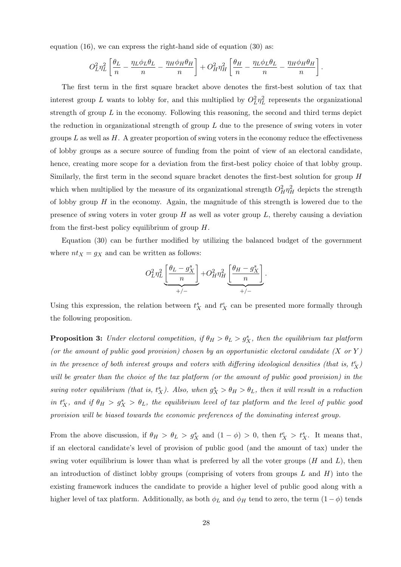equation (16), we can express the right-hand side of equation (30) as:

$$
O_L^2 \eta_L^2 \left[ \frac{\theta_L}{n} - \frac{\eta_L \phi_L \theta_L}{n} - \frac{\eta_H \phi_H \theta_H}{n} \right] + O_H^2 \eta_H^2 \left[ \frac{\theta_H}{n} - \frac{\eta_L \phi_L \theta_L}{n} - \frac{\eta_H \phi_H \theta_H}{n} \right].
$$

The first term in the first square bracket above denotes the first-best solution of tax that interest group L wants to lobby for, and this multiplied by  $O_L^2 \eta_L^2$  represents the organizational strength of group  $L$  in the economy. Following this reasoning, the second and third terms depict the reduction in organizational strength of group  $L$  due to the presence of swing voters in voter groups L as well as H. A greater proportion of swing voters in the economy reduce the effectiveness of lobby groups as a secure source of funding from the point of view of an electoral candidate, hence, creating more scope for a deviation from the first-best policy choice of that lobby group. Similarly, the first term in the second square bracket denotes the first-best solution for group H which when multiplied by the measure of its organizational strength  $O_H^2 \eta_H^2$  depicts the strength of lobby group  $H$  in the economy. Again, the magnitude of this strength is lowered due to the presence of swing voters in voter group  $H$  as well as voter group  $L$ , thereby causing a deviation from the first-best policy equilibrium of group H.

Equation (30) can be further modified by utilizing the balanced budget of the government where  $nt_X = g_X$  and can be written as follows:

$$
O_L^2 \eta_L^2 \underbrace{\left[\frac{\theta_L - g_X^s}{n}\right]}_{+/ -} + O_H^2 \eta_H^2 \underbrace{\left[\frac{\theta_H - g_X^s}{n}\right]}_{+/ -}.
$$

Using this expression, the relation between  $t_X^s$  and  $t_X^e$  can be presented more formally through the following proposition.

**Proposition 3:** Under electoral competition, if  $\theta_H > \theta_L > g_X^s$ , then the equilibrium tax platform (or the amount of public good provision) chosen by an opportunistic electoral candidate  $(X \text{ or } Y)$ in the presence of both interest groups and voters with differing ideological densities (that is,  $t_X^e$ ) will be greater than the choice of the tax platform (or the amount of public good provision) in the swing voter equilibrium (that is,  $t_X^s$ ). Also, when  $g_X^s > \theta_H > \theta_L$ , then it will result in a reduction in  $t_X^e$ , and if  $\theta_H > g_X^s > \theta_L$ , the equilibrium level of tax platform and the level of public good provision will be biased towards the economic preferences of the dominating interest group.

From the above discussion, if  $\theta_H > \theta_L > g_X^s$  and  $(1 - \phi) > 0$ , then  $t_X^e > t_X^s$ . It means that, if an electoral candidate's level of provision of public good (and the amount of tax) under the swing voter equilibrium is lower than what is preferred by all the voter groups  $(H \text{ and } L)$ , then an introduction of distinct lobby groups (comprising of voters from groups  $L$  and  $H$ ) into the existing framework induces the candidate to provide a higher level of public good along with a higher level of tax platform. Additionally, as both  $\phi_L$  and  $\phi_H$  tend to zero, the term  $(1 - \phi)$  tends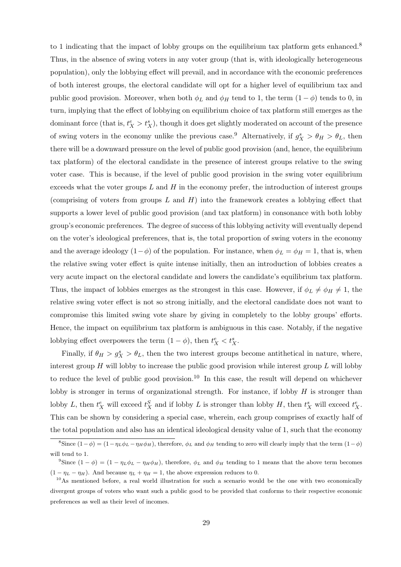to 1 indicating that the impact of lobby groups on the equilibrium tax platform gets enhanced.<sup>8</sup> Thus, in the absence of swing voters in any voter group (that is, with ideologically heterogeneous population), only the lobbying effect will prevail, and in accordance with the economic preferences of both interest groups, the electoral candidate will opt for a higher level of equilibrium tax and public good provision. Moreover, when both  $\phi_L$  and  $\phi_H$  tend to 1, the term  $(1 - \phi)$  tends to 0, in turn, implying that the effect of lobbying on equilibrium choice of tax platform still emerges as the dominant force (that is,  $t_X^e > t_X^s$ ), though it does get slightly moderated on account of the presence of swing voters in the economy unlike the previous case.<sup>9</sup> Alternatively, if  $g_X^s > \theta_H > \theta_L$ , then there will be a downward pressure on the level of public good provision (and, hence, the equilibrium tax platform) of the electoral candidate in the presence of interest groups relative to the swing voter case. This is because, if the level of public good provision in the swing voter equilibrium exceeds what the voter groups  $L$  and  $H$  in the economy prefer, the introduction of interest groups (comprising of voters from groups L and H) into the framework creates a lobbying effect that supports a lower level of public good provision (and tax platform) in consonance with both lobby group's economic preferences. The degree of success of this lobbying activity will eventually depend on the voter's ideological preferences, that is, the total proportion of swing voters in the economy and the average ideology  $(1-\phi)$  of the population. For instance, when  $\phi_L = \phi_H = 1$ , that is, when the relative swing voter effect is quite intense initially, then an introduction of lobbies creates a very acute impact on the electoral candidate and lowers the candidate's equilibrium tax platform. Thus, the impact of lobbies emerges as the strongest in this case. However, if  $\phi_L \neq \phi_H \neq 1$ , the relative swing voter effect is not so strong initially, and the electoral candidate does not want to compromise this limited swing vote share by giving in completely to the lobby groups' efforts. Hence, the impact on equilibrium tax platform is ambiguous in this case. Notably, if the negative lobbying effect overpowers the term  $(1 - \phi)$ , then  $t_X^e < t_X^s$ .

Finally, if  $\theta_H > g_X^s > \theta_L$ , then the two interest groups become antithetical in nature, where, interest group  $H$  will lobby to increase the public good provision while interest group  $L$  will lobby to reduce the level of public good provision.<sup>10</sup> In this case, the result will depend on whichever lobby is stronger in terms of organizational strength. For instance, if lobby  $H$  is stronger than lobby L, then  $t_X^e$  will exceed  $t_X^S$  and if lobby L is stronger than lobby H, then  $t_X^s$  will exceed  $t_X^e$ . This can be shown by considering a special case, wherein, each group comprises of exactly half of the total population and also has an identical ideological density value of 1, such that the economy

<sup>&</sup>lt;sup>8</sup>Since  $(1-\phi) = (1-\eta_L\phi_L - \eta_H\phi_H)$ , therefore,  $\phi_L$  and  $\phi_H$  tending to zero will clearly imply that the term  $(1-\phi)$ will tend to 1.

<sup>&</sup>lt;sup>9</sup>Since  $(1 - \phi) = (1 - \eta_L \phi_L - \eta_H \phi_H)$ , therefore,  $\phi_L$  and  $\phi_H$  tending to 1 means that the above term becomes  $(1 - \eta_L - \eta_H)$ . And because  $\eta_L + \eta_H = 1$ , the above expression reduces to 0.

 $10$ As mentioned before, a real world illustration for such a scenario would be the one with two economically divergent groups of voters who want such a public good to be provided that conforms to their respective economic preferences as well as their level of incomes.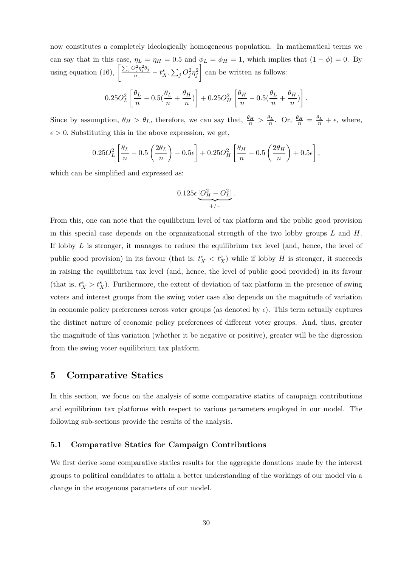now constitutes a completely ideologically homogeneous population. In mathematical terms we can say that in this case,  $\eta_L = \eta_H = 0.5$  and  $\phi_L = \phi_H = 1$ , which implies that  $(1 - \phi) = 0$ . By using equation (16),  $\left[\frac{\sum_j Q_j^2 \eta_j^2 \theta_j}{n} - t_X^s \cdot \sum_j Q_j^2 \eta_j^2\right]$ can be written as follows:

$$
0.25O_L^2\left[\frac{\theta_L}{n} - 0.5\left(\frac{\theta_L}{n} + \frac{\theta_H}{n}\right)\right] + 0.25O_H^2\left[\frac{\theta_H}{n} - 0.5\left(\frac{\theta_L}{n} + \frac{\theta_H}{n}\right)\right].
$$

Since by assumption,  $\theta_H > \theta_L$ , therefore, we can say that,  $\frac{\theta_H}{n} > \frac{\theta_L}{n}$ . Or,  $\frac{\theta_H}{n} = \frac{\theta_L}{n} + \epsilon$ , where,  $\epsilon > 0$ . Substituting this in the above expression, we get,

$$
0.25O_L^2\left[\frac{\theta_L}{n} - 0.5\left(\frac{2\theta_L}{n}\right) - 0.5\epsilon\right] + 0.25O_H^2\left[\frac{\theta_H}{n} - 0.5\left(\frac{2\theta_H}{n}\right) + 0.5\epsilon\right],
$$

which can be simplified and expressed as:

$$
0.125\epsilon \underbrace{[O_H^2-O_L^2]}_{+/ -}.
$$

From this, one can note that the equilibrium level of tax platform and the public good provision in this special case depends on the organizational strength of the two lobby groups  $L$  and  $H$ . If lobby  $L$  is stronger, it manages to reduce the equilibrium tax level (and, hence, the level of public good provision) in its favour (that is,  $t_X^e < t_X^s$ ) while if lobby H is stronger, it succeeds in raising the equilibrium tax level (and, hence, the level of public good provided) in its favour (that is,  $t_X^e > t_X^s$ ). Furthermore, the extent of deviation of tax platform in the presence of swing voters and interest groups from the swing voter case also depends on the magnitude of variation in economic policy preferences across voter groups (as denoted by  $\epsilon$ ). This term actually captures the distinct nature of economic policy preferences of different voter groups. And, thus, greater the magnitude of this variation (whether it be negative or positive), greater will be the digression from the swing voter equilibrium tax platform.

### 5 Comparative Statics

In this section, we focus on the analysis of some comparative statics of campaign contributions and equilibrium tax platforms with respect to various parameters employed in our model. The following sub-sections provide the results of the analysis.

### 5.1 Comparative Statics for Campaign Contributions

We first derive some comparative statics results for the aggregate donations made by the interest groups to political candidates to attain a better understanding of the workings of our model via a change in the exogenous parameters of our model.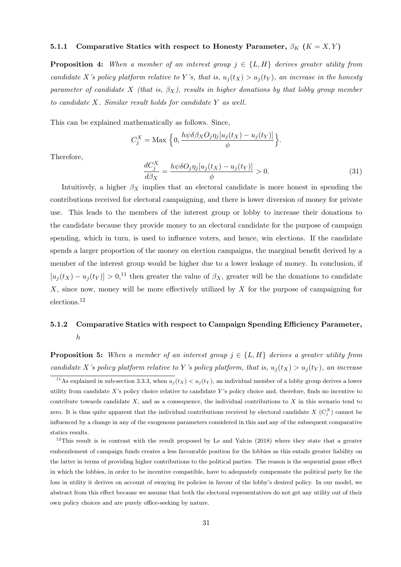### 5.1.1 Comparative Statics with respect to Honesty Parameter,  $\beta_K$  ( $K = X, Y$ )

**Proposition 4:** When a member of an interest group  $j \in \{L, H\}$  derives greater utility from candidate X's policy platform relative to Y's, that is,  $u_j(t_X) > u_j(t_Y)$ , an increase in the honesty parameter of candidate X (that is,  $\beta_X$ ), results in higher donations by that lobby group member to candidate X. Similar result holds for candidate Y as well.

This can be explained mathematically as follows. Since,

$$
C_j^X = \text{Max} \left\{ 0, \frac{h\psi\delta\beta_X O_j \eta_j[u_j(t_X) - u_j(t_Y)]}{\phi} \right\}.
$$

Therefore,

$$
\frac{dC_j^X}{d\beta_X} = \frac{h\psi\delta O_j\eta_j[u_j(t_X) - u_j(t_Y)]}{\phi} > 0.
$$
\n(31)

Intuitively, a higher  $\beta_X$  implies that an electoral candidate is more honest in spending the contributions received for electoral campaigning, and there is lower diversion of money for private use. This leads to the members of the interest group or lobby to increase their donations to the candidate because they provide money to an electoral candidate for the purpose of campaign spending, which in turn, is used to influence voters, and hence, win elections. If the candidate spends a larger proportion of the money on election campaigns, the marginal benefit derived by a member of the interest group would be higher due to a lower leakage of money. In conclusion, if  $[u_j(t_X) - u_j(t_Y)] > 0$ <sup>11</sup>, then greater the value of  $\beta_X$ , greater will be the donations to candidate  $X$ , since now, money will be more effectively utilized by  $X$  for the purpose of campaigning for elections.<sup>12</sup>

# 5.1.2 Comparative Statics with respect to Campaign Spending Efficiency Parameter, h

**Proposition 5:** When a member of an interest group  $j \in \{L, H\}$  derives a greater utility from candidate X's policy platform relative to Y's policy platform, that is,  $u_i(t_X) > u_i(t_Y)$ , an increase

<sup>&</sup>lt;sup>11</sup>As explained in sub-section 3.3.3, when  $u_i(t_X) < u_i(t_Y)$ , an individual member of a lobby group derives a lower utility from candidate  $X$ 's policy choice relative to candidate  $Y$ 's policy choice and, therefore, finds no incentive to contribute towards candidate  $X$ , and as a consequence, the individual contributions to  $X$  in this scenario tend to zero. It is thus quite apparent that the individual contributions received by electoral candidate  $X(C_j^X)$  cannot be influenced by a change in any of the exogenous parameters considered in this and any of the subsequent comparative statics results.

 $12$ This result is in contrast with the result proposed by Le and Yalcin (2018) where they state that a greater embezzlement of campaign funds creates a less favourable position for the lobbies as this entails greater liability on the latter in terms of providing higher contributions to the political parties. The reason is the sequential game effect in which the lobbies, in order to be incentive compatible, have to adequately compensate the political party for the loss in utility it derives on account of swaying its policies in favour of the lobby's desired policy. In our model, we abstract from this effect because we assume that both the electoral representatives do not get any utility out of their own policy choices and are purely office-seeking by nature.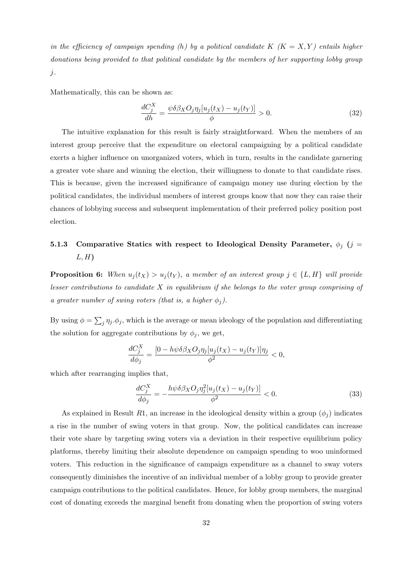in the efficiency of campaign spending (h) by a political candidate K  $(K = X, Y)$  entails higher donations being provided to that political candidate by the members of her supporting lobby group j.

Mathematically, this can be shown as:

$$
\frac{dC_j^X}{dh} = \frac{\psi \delta \beta_X O_j \eta_j [u_j(t_X) - u_j(t_Y)]}{\phi} > 0.
$$
\n(32)

The intuitive explanation for this result is fairly straightforward. When the members of an interest group perceive that the expenditure on electoral campaigning by a political candidate exerts a higher influence on unorganized voters, which in turn, results in the candidate garnering a greater vote share and winning the election, their willingness to donate to that candidate rises. This is because, given the increased significance of campaign money use during election by the political candidates, the individual members of interest groups know that now they can raise their chances of lobbying success and subsequent implementation of their preferred policy position post election.

# 5.1.3 Comparative Statics with respect to Ideological Density Parameter,  $\phi_j$  (j =  $L, H$

**Proposition 6:** When  $u_j(t_X) > u_j(t_Y)$ , a member of an interest group  $j \in \{L, H\}$  will provide lesser contributions to candidate X in equilibrium if she belongs to the voter group comprising of a greater number of swing voters (that is, a higher  $\phi_j$ ).

By using  $\phi = \sum_j \eta_j \cdot \phi_j$ , which is the average or mean ideology of the population and differentiating the solution for aggregate contributions by  $\phi_j$ , we get,

$$
\frac{dC_j^X}{d\phi_j} = \frac{[0 - h\psi \delta \beta_X O_j \eta_j [u_j(t_X) - u_j(t_Y)] \eta_j}{\phi^2} < 0,
$$

which after rearranging implies that,

$$
\frac{dC_j^X}{d\phi_j} = -\frac{h\psi\delta\beta_X O_j \eta_j^2 [u_j(t_X) - u_j(t_Y)]}{\phi^2} < 0. \tag{33}
$$

As explained in Result R1, an increase in the ideological density within a group  $(\phi_i)$  indicates a rise in the number of swing voters in that group. Now, the political candidates can increase their vote share by targeting swing voters via a deviation in their respective equilibrium policy platforms, thereby limiting their absolute dependence on campaign spending to woo uninformed voters. This reduction in the significance of campaign expenditure as a channel to sway voters consequently diminishes the incentive of an individual member of a lobby group to provide greater campaign contributions to the political candidates. Hence, for lobby group members, the marginal cost of donating exceeds the marginal benefit from donating when the proportion of swing voters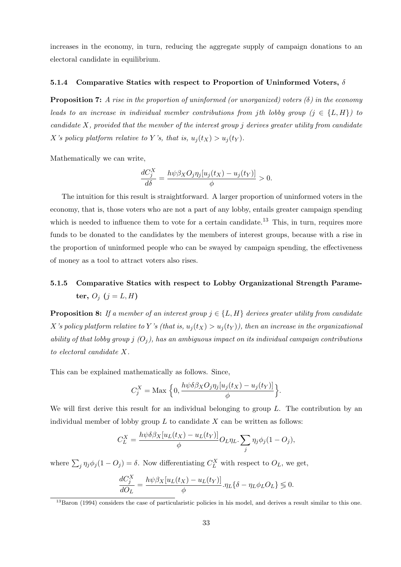increases in the economy, in turn, reducing the aggregate supply of campaign donations to an electoral candidate in equilibrium.

#### 5.1.4 Comparative Statics with respect to Proportion of Uninformed Voters,  $\delta$

**Proposition 7:** A rise in the proportion of uninformed (or unorganized) voters  $(\delta)$  in the economy leads to an increase in individual member contributions from jth lobby group  $(j \in \{L, H\})$  to candidate X, provided that the member of the interest group j derives greater utility from candidate X's policy platform relative to Y's, that is,  $u_j(t_X) > u_j(t_Y)$ .

Mathematically we can write,

$$
\frac{dC_j^X}{d\delta} = \frac{h\psi\beta_XO_j\eta_j[u_j(t_X) - u_j(t_Y)]}{\phi} > 0.
$$

The intuition for this result is straightforward. A larger proportion of uninformed voters in the economy, that is, those voters who are not a part of any lobby, entails greater campaign spending which is needed to influence them to vote for a certain candidate.<sup>13</sup> This, in turn, requires more funds to be donated to the candidates by the members of interest groups, because with a rise in the proportion of uninformed people who can be swayed by campaign spending, the effectiveness of money as a tool to attract voters also rises.

# 5.1.5 Comparative Statics with respect to Lobby Organizational Strength Parameter,  $O_j$   $(j = L, H)$

**Proposition 8:** If a member of an interest group  $j \in \{L, H\}$  derives greater utility from candidate X's policy platform relative to Y's (that is,  $u_j(t_X) > u_j(t_Y)$ ), then an increase in the organizational ability of that lobby group j  $(O_i)$ , has an ambiguous impact on its individual campaign contributions to electoral candidate X.

This can be explained mathematically as follows. Since,

$$
C_j^X = \text{Max} \left\{ 0, \frac{h\psi \delta \beta_X O_j \eta_j[u_j(t_X) - u_j(t_Y)]}{\phi} \right\}.
$$

We will first derive this result for an individual belonging to group  $L$ . The contribution by an individual member of lobby group  $L$  to candidate  $X$  can be written as follows:

$$
C_L^X = \frac{h\psi\delta\beta_X[u_L(t_X) - u_L(t_Y)]}{\phi} O_L \eta_L \sum_j \eta_j \phi_j (1 - O_j),
$$

where  $\sum_j \eta_j \phi_j (1 - O_j) = \delta$ . Now differentiating  $C_L^X$  with respect to  $O_L$ , we get,

$$
\frac{dC_j^X}{dO_L} = \frac{h\psi\beta_X[u_L(t_X) - u_L(t_Y)]}{\phi}.\eta_L\{\delta - \eta_L\phi_L O_L\} \lessgtr 0.
$$

<sup>&</sup>lt;sup>13</sup>Baron (1994) considers the case of particularistic policies in his model, and derives a result similar to this one.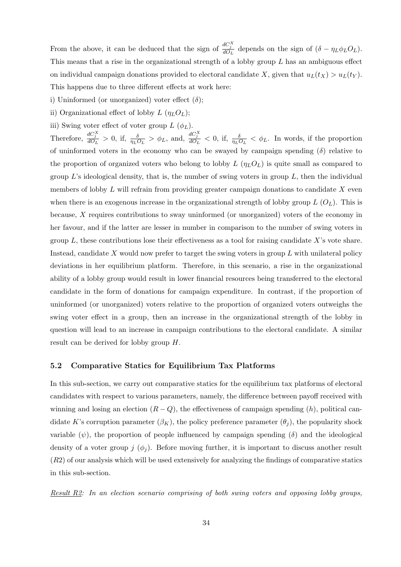From the above, it can be deduced that the sign of  $\frac{dC_i^X}{dQ_L}$  depends on the sign of  $(\delta - \eta_L \phi_L O_L)$ . This means that a rise in the organizational strength of a lobby group  $L$  has an ambiguous effect on individual campaign donations provided to electoral candidate X, given that  $u_L(t_X) > u_L(t_Y)$ . This happens due to three different effects at work here:

- i) Uninformed (or unorganized) voter effect  $(\delta)$ ;
- ii) Organizational effect of lobby  $L(\eta_L O_L);$
- iii) Swing voter effect of voter group  $L(\phi_L)$ .

Therefore,  $\frac{dC_j^X}{d\phi_L} > 0$ , if,  $\frac{\delta}{\eta_L \phi_L} > \phi_L$ , and,  $\frac{dC_j^X}{d\phi_L} < 0$ , if,  $\frac{\delta}{\eta_L \phi_L} < \phi_L$ . In words, if the proportion of uninformed voters in the economy who can be swayed by campaign spending  $(\delta)$  relative to the proportion of organized voters who belong to lobby  $L(\eta_L O_L)$  is quite small as compared to group  $L$ 's ideological density, that is, the number of swing voters in group  $L$ , then the individual members of lobby  $L$  will refrain from providing greater campaign donations to candidate  $X$  even when there is an exogenous increase in the organizational strength of lobby group  $L(O_L)$ . This is because, X requires contributions to sway uninformed (or unorganized) voters of the economy in her favour, and if the latter are lesser in number in comparison to the number of swing voters in group  $L$ , these contributions lose their effectiveness as a tool for raising candidate  $X$ 's vote share. Instead, candidate  $X$  would now prefer to target the swing voters in group  $L$  with unilateral policy deviations in her equilibrium platform. Therefore, in this scenario, a rise in the organizational ability of a lobby group would result in lower financial resources being transferred to the electoral candidate in the form of donations for campaign expenditure. In contrast, if the proportion of uninformed (or unorganized) voters relative to the proportion of organized voters outweighs the swing voter effect in a group, then an increase in the organizational strength of the lobby in question will lead to an increase in campaign contributions to the electoral candidate. A similar result can be derived for lobby group H.

### 5.2 Comparative Statics for Equilibrium Tax Platforms

In this sub-section, we carry out comparative statics for the equilibrium tax platforms of electoral candidates with respect to various parameters, namely, the difference between payoff received with winning and losing an election  $(R - Q)$ , the effectiveness of campaign spending  $(h)$ , political candidate K's corruption parameter  $(\beta_K)$ , the policy preference parameter  $(\theta_j)$ , the popularity shock variable  $(\psi)$ , the proportion of people influenced by campaign spending  $(\delta)$  and the ideological density of a voter group j  $(\phi_i)$ . Before moving further, it is important to discuss another result  $(R2)$  of our analysis which will be used extensively for analyzing the findings of comparative statics in this sub-section.

Result R2: In an election scenario comprising of both swing voters and opposing lobby groups,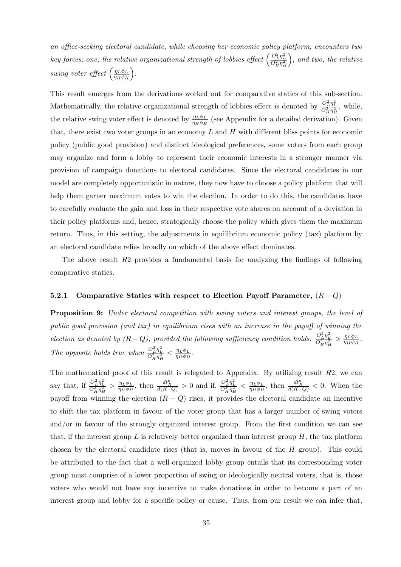an office-seeking electoral candidate, while choosing her economic policy platform, encounters two key forces; one, the relative organizational strength of lobbies effect  $\left(\frac{O_L^2 \eta_L^2}{O_H^2 \eta_H^2}\right)$  , and two, the relative swing voter effect  $\left(\frac{\eta_L \phi_L}{\eta_L \phi_H}\right)$  $\eta_H \phi_H$ .

This result emerges from the derivations worked out for comparative statics of this sub-section. Mathematically, the relative organizational strength of lobbies effect is denoted by  $\frac{O_L^2 \eta_L^2}{O_H^2 \eta_H^2}$ , while, the relative swing voter effect is denoted by  $\frac{\eta_L \phi_L}{\eta_H \phi_H}$  (see Appendix for a detailed derivation). Given that, there exist two voter groups in an economy  $L$  and  $H$  with different bliss points for economic policy (public good provision) and distinct ideological preferences, some voters from each group may organize and form a lobby to represent their economic interests in a stronger manner via provision of campaign donations to electoral candidates. Since the electoral candidates in our model are completely opportunistic in nature, they now have to choose a policy platform that will help them garner maximum votes to win the election. In order to do this, the candidates have to carefully evaluate the gain and loss in their respective vote shares on account of a deviation in their policy platforms and, hence, strategically choose the policy which gives them the maximum return. Thus, in this setting, the adjustments in equilibrium economic policy (tax) platform by an electoral candidate relies broadly on which of the above effect dominates.

The above result R2 provides a fundamental basis for analyzing the findings of following comparative statics.

### 5.2.1 Comparative Statics with respect to Election Payoff Parameter,  $(R - Q)$

Proposition 9: Under electoral competition with swing voters and interest groups, the level of public good provision (and tax) in equilibrium rises with an increase in the payoff of winning the election as denoted by  $(R-Q)$ , provided the following sufficiency condition holds:  $\frac{O_L^2 \eta_L^2}{O_H^2 \eta_H^2} > \frac{\eta_L \phi_L}{\eta_H \phi_H}$  $\frac{\eta_L \varphi_L}{\eta_H \phi_H}$  . The opposite holds true when  $\frac{O_L^2 \eta_L^2}{O_H^2 \eta_H^2} < \frac{\eta_L \phi_L}{\eta_H \phi_H}$  $\frac{\eta_L \phi_L}{\eta_H \phi_H}.$ 

The mathematical proof of this result is relegated to Appendix. By utilizing result  $R2$ , we can say that, if  $\frac{O_L^2 \eta_L^2}{O_H^2 \eta_H^2} > \frac{\eta_L \phi_L}{\eta_H \phi_H}$  $\frac{\eta_L \phi_L}{\eta_H \phi_H}$ , then  $\frac{dt_X^e}{d(R-Q)} > 0$  and if,  $\frac{O_L^2 \eta_L^2}{O_H^2 \eta_H^2} < \frac{\eta_L \phi_L}{\eta_H \phi_H}$  $\frac{\eta_L \phi_L}{\eta_H \phi_H}$ , then  $\frac{dt_X^e}{d(R-Q)} < 0$ . When the payoff from winning the election  $(R - Q)$  rises, it provides the electoral candidate an incentive to shift the tax platform in favour of the voter group that has a larger number of swing voters and/or in favour of the strongly organized interest group. From the first condition we can see that, if the interest group  $L$  is relatively better organized than interest group  $H$ , the tax platform chosen by the electoral candidate rises (that is, moves in favour of the H group). This could be attributed to the fact that a well-organized lobby group entails that its corresponding voter group must comprise of a lower proportion of swing or ideologically neutral voters, that is, those voters who would not have any incentive to make donations in order to become a part of an interest group and lobby for a specific policy or cause. Thus, from our result we can infer that,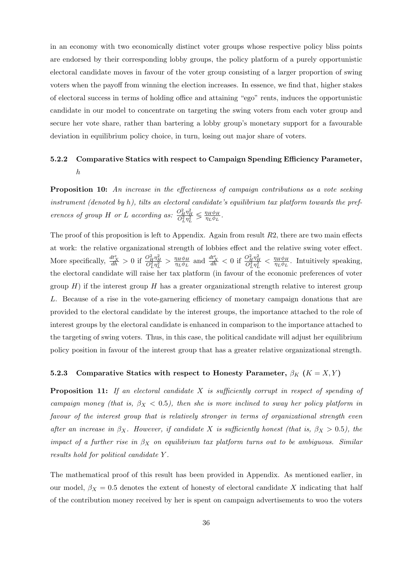in an economy with two economically distinct voter groups whose respective policy bliss points are endorsed by their corresponding lobby groups, the policy platform of a purely opportunistic electoral candidate moves in favour of the voter group consisting of a larger proportion of swing voters when the payoff from winning the election increases. In essence, we find that, higher stakes of electoral success in terms of holding office and attaining "ego" rents, induces the opportunistic candidate in our model to concentrate on targeting the swing voters from each voter group and secure her vote share, rather than bartering a lobby group's monetary support for a favourable deviation in equilibrium policy choice, in turn, losing out major share of voters.

## 5.2.2 Comparative Statics with respect to Campaign Spending Efficiency Parameter, h

Proposition 10: An increase in the effectiveness of campaign contributions as a vote seeking instrument (denoted by h), tilts an electoral candidate's equilibrium tax platform towards the preferences of group H or L according as:  $\frac{O_H^2 \eta_H^2}{O_L^2 \eta_L^2}$  $\leqslant \frac{\eta_H \phi_H}{\sqrt{2}}$  $\frac{\eta_{H}\phi_{H}}{\eta_{L}\phi_{L}}.$ 

The proof of this proposition is left to Appendix. Again from result  $R2$ , there are two main effects at work: the relative organizational strength of lobbies effect and the relative swing voter effect. More specifically,  $\frac{dt_X^e}{dh} > 0$  if  $\frac{O_H^2 \eta_H^2}{O_L^2 \eta_L^2} > \frac{\eta_H \phi_H}{\eta_L \phi_L}$  $\frac{\eta_H \phi_H}{\eta_L \phi_L}$  and  $\frac{dt_X^e}{dh} < 0$  if  $\frac{O_H^2 \eta_H^2}{O_L^2 \eta_L^2} < \frac{\eta_H \phi_H}{\eta_L \phi_L}$  $\frac{\eta_H \varphi_H}{\eta_L \phi_L}$ . Intuitively speaking, the electoral candidate will raise her tax platform (in favour of the economic preferences of voter group  $H$ ) if the interest group  $H$  has a greater organizational strength relative to interest group L. Because of a rise in the vote-garnering efficiency of monetary campaign donations that are provided to the electoral candidate by the interest groups, the importance attached to the role of interest groups by the electoral candidate is enhanced in comparison to the importance attached to the targeting of swing voters. Thus, in this case, the political candidate will adjust her equilibrium policy position in favour of the interest group that has a greater relative organizational strength.

### 5.2.3 Comparative Statics with respect to Honesty Parameter,  $\beta_K$  ( $K = X, Y$ )

**Proposition 11:** If an electoral candidate  $X$  is sufficiently corrupt in respect of spending of campaign money (that is,  $\beta_X < 0.5$ ), then she is more inclined to sway her policy platform in favour of the interest group that is relatively stronger in terms of organizational strength even after an increase in  $\beta_X$ . However, if candidate X is sufficiently honest (that is,  $\beta_X > 0.5$ ), the impact of a further rise in  $\beta_X$  on equilibrium tax platform turns out to be ambiguous. Similar results hold for political candidate Y .

The mathematical proof of this result has been provided in Appendix. As mentioned earlier, in our model,  $\beta_X = 0.5$  denotes the extent of honesty of electoral candidate X indicating that half of the contribution money received by her is spent on campaign advertisements to woo the voters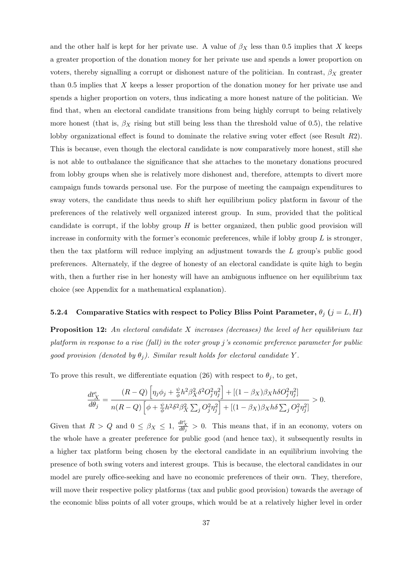and the other half is kept for her private use. A value of  $\beta_X$  less than 0.5 implies that X keeps a greater proportion of the donation money for her private use and spends a lower proportion on voters, thereby signalling a corrupt or dishonest nature of the politician. In contrast,  $\beta_X$  greater than 0.5 implies that X keeps a lesser proportion of the donation money for her private use and spends a higher proportion on voters, thus indicating a more honest nature of the politician. We find that, when an electoral candidate transitions from being highly corrupt to being relatively more honest (that is,  $\beta_X$  rising but still being less than the threshold value of 0.5), the relative lobby organizational effect is found to dominate the relative swing voter effect (see Result R2). This is because, even though the electoral candidate is now comparatively more honest, still she is not able to outbalance the significance that she attaches to the monetary donations procured from lobby groups when she is relatively more dishonest and, therefore, attempts to divert more campaign funds towards personal use. For the purpose of meeting the campaign expenditures to sway voters, the candidate thus needs to shift her equilibrium policy platform in favour of the preferences of the relatively well organized interest group. In sum, provided that the political candidate is corrupt, if the lobby group  $H$  is better organized, then public good provision will increase in conformity with the former's economic preferences, while if lobby group  $L$  is stronger, then the tax platform will reduce implying an adjustment towards the L group's public good preferences. Alternately, if the degree of honesty of an electoral candidate is quite high to begin with, then a further rise in her honesty will have an ambiguous influence on her equilibrium tax choice (see Appendix for a mathematical explanation).

### 5.2.4 Comparative Statics with respect to Policy Bliss Point Parameter,  $\theta_j$  ( $j = L, H$ )

**Proposition 12:** An electoral candidate X increases (decreases) the level of her equilibrium tax platform in response to a rise (fall) in the voter group j's economic preference parameter for public good provision (denoted by  $\theta_j$ ). Similar result holds for electoral candidate Y.

To prove this result, we differentiate equation (26) with respect to  $\theta_i$ , to get,

$$
\frac{dt_X^e}{d\theta_j} = \frac{(R-Q)\left[\eta_j\phi_j + \frac{\psi}{\phi}h^2\beta_X^2\delta^2O_j^2\eta_j^2\right] + \left[(1-\beta_X)\beta_Xh\delta O_j^2\eta_j^2\right]}{n(R-Q)\left[\phi + \frac{\psi}{\phi}h^2\delta^2\beta_X^2\sum_jO_j^2\eta_j^2\right] + \left[(1-\beta_X)\beta_Xh\delta\sum_jO_j^2\eta_j^2\right]} > 0.
$$

Given that  $R > Q$  and  $0 \leq \beta_X \leq 1$ ,  $\frac{dt_X^e}{d\theta_j} > 0$ . This means that, if in an economy, voters on the whole have a greater preference for public good (and hence tax), it subsequently results in a higher tax platform being chosen by the electoral candidate in an equilibrium involving the presence of both swing voters and interest groups. This is because, the electoral candidates in our model are purely office-seeking and have no economic preferences of their own. They, therefore, will move their respective policy platforms (tax and public good provision) towards the average of the economic bliss points of all voter groups, which would be at a relatively higher level in order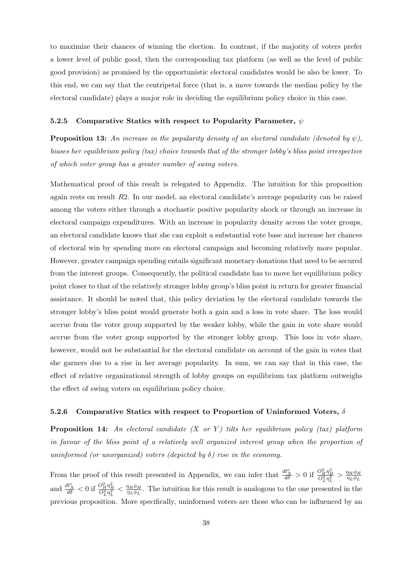to maximize their chances of winning the election. In contrast, if the majority of voters prefer a lower level of public good, then the corresponding tax platform (as well as the level of public good provision) as promised by the opportunistic electoral candidates would be also be lower. To this end, we can say that the centripetal force (that is, a move towards the median policy by the electoral candidate) plays a major role in deciding the equilibrium policy choice in this case.

### 5.2.5 Comparative Statics with respect to Popularity Parameter,  $\psi$

**Proposition 13:** An increase in the popularity density of an electoral candidate (denoted by  $\psi$ ), biases her equilibrium policy (tax) choice towards that of the stronger lobby's bliss point irrespective of which voter group has a greater number of swing voters.

Mathematical proof of this result is relegated to Appendix. The intuition for this proposition again rests on result R2. In our model, an electoral candidate's average popularity can be raised among the voters either through a stochastic positive popularity shock or through an increase in electoral campaign expenditures. With an increase in popularity density across the voter groups, an electoral candidate knows that she can exploit a substantial vote base and increase her chances of electoral win by spending more on electoral campaign and becoming relatively more popular. However, greater campaign spending entails significant monetary donations that need to be secured from the interest groups. Consequently, the political candidate has to move her equilibrium policy point closer to that of the relatively stronger lobby group's bliss point in return for greater financial assistance. It should be noted that, this policy deviation by the electoral candidate towards the stronger lobby's bliss point would generate both a gain and a loss in vote share. The loss would accrue from the voter group supported by the weaker lobby, while the gain in vote share would accrue from the voter group supported by the stronger lobby group. This loss in vote share, however, would not be substantial for the electoral candidate on account of the gain in votes that she garners due to a rise in her average popularity. In sum, we can say that in this case, the effect of relative organizational strength of lobby groups on equilibrium tax platform outweighs the effect of swing voters on equilibrium policy choice.

### 5.2.6 Comparative Statics with respect to Proportion of Uninformed Voters,  $\delta$

**Proposition 14:** An electoral candidate  $(X \text{ or } Y)$  tilts her equilibrium policy (tax) platform in favour of the bliss point of a relatively well organized interest group when the proportion of uninformed (or unorganized) voters (depicted by  $\delta$ ) rise in the economy.

From the proof of this result presented in Appendix, we can infer that  $\frac{dt_X^e}{d\delta} > 0$  if  $\frac{O_H^2 \eta_H^2}{O_L^2 \eta_L^2} > \frac{\eta_H \phi_H}{\eta_L \phi_L}$  $\eta_L \phi_L$ and  $\frac{d t_X^e}{d \delta} < 0$  if  $\frac{O_H^2 \eta_H^2}{O_L^2 \eta_L^2} < \frac{\eta_H \phi_H}{\eta_L \phi_L}$  $\frac{\eta_H \varphi_H}{\eta_L \phi_L}$ . The intuition for this result is analogous to the one presented in the previous proposition. More specifically, uninformed voters are those who can be influenced by an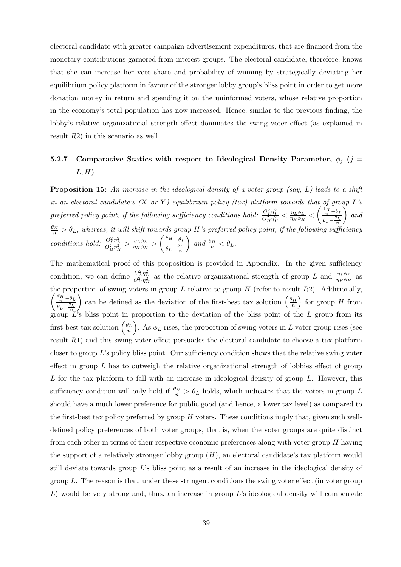electoral candidate with greater campaign advertisement expenditures, that are financed from the monetary contributions garnered from interest groups. The electoral candidate, therefore, knows that she can increase her vote share and probability of winning by strategically deviating her equilibrium policy platform in favour of the stronger lobby group's bliss point in order to get more donation money in return and spending it on the uninformed voters, whose relative proportion in the economy's total population has now increased. Hence, similar to the previous finding, the lobby's relative organizational strength effect dominates the swing voter effect (as explained in result R2) in this scenario as well.

# 5.2.7 Comparative Statics with respect to Ideological Density Parameter,  $\phi_i$  (j =  $L, H$

**Proposition 15:** An increase in the ideological density of a voter group (say, L) leads to a shift in an electoral candidate's  $(X \text{ or } Y)$  equilibrium policy (tax) platform towards that of group L's preferred policy point, if the following sufficiency conditions hold:  $\frac{O_L^2 \eta_L^2}{O_H^2 \eta_H^2} < \frac{\eta_L \phi_L}{\eta_H \phi_H}$  $\frac{\eta_L \phi_L}{\eta_H \phi_H} < \left( \frac{\frac{\theta_H}{n} - \theta_L}{\theta_I - \frac{\theta_L}{n}} \right)$  $\theta_L-\frac{\theta_L}{n}$  $\big)$  and  $\frac{\theta_H}{n} > \theta_L$ , whereas, it will shift towards group H's preferred policy point, if the following sufficiency conditions hold:  $\frac{O_L^2 \eta_L^2}{O_H^2 \eta_H^2} > \frac{\eta_L \phi_L}{\eta_H \phi_H}$  $\frac{\eta_L \phi_L}{\eta_H \phi_H} > \left( \frac{\frac{\theta_H}{n} - \theta_L}{\theta_I - \frac{\theta_L}{n}} \right)$  $\theta_L-\frac{\theta_L}{n}$  $\Big)$  and  $\frac{\theta_H}{n} < \theta_L$ .

The mathematical proof of this proposition is provided in Appendix. In the given sufficiency condition, we can define  $\frac{O_L^2 \eta_L^2}{O_H^2 \eta_H^2}$  as the relative organizational strength of group L and  $\frac{\eta_L \phi_L}{\eta_H \phi_H}$  as  $\int \frac{\theta_H}{n} - \theta_L$ the proportion of swing voters in group  $L$  relative to group  $H$  (refer to result  $R2$ ). Additionally,  $\theta_L-\frac{\theta_L}{n}$ ) can be defined as the deviation of the first-best tax solution  $\left(\frac{\theta_H}{n}\right)$  for group H from group  $L$ 's bliss point in proportion to the deviation of the bliss point of the  $L$  group from its first-best tax solution  $(\frac{\theta_L}{n})$ . As  $\phi_L$  rises, the proportion of swing voters in L voter group rises (see result R1) and this swing voter effect persuades the electoral candidate to choose a tax platform closer to group  $L$ 's policy bliss point. Our sufficiency condition shows that the relative swing voter effect in group  $L$  has to outweigh the relative organizational strength of lobbies effect of group  $L$  for the tax platform to fall with an increase in ideological density of group  $L$ . However, this sufficiency condition will only hold if  $\frac{\theta_H}{n} > \theta_L$  holds, which indicates that the voters in group L should have a much lower preference for public good (and hence, a lower tax level) as compared to the first-best tax policy preferred by group  $H$  voters. These conditions imply that, given such welldefined policy preferences of both voter groups, that is, when the voter groups are quite distinct from each other in terms of their respective economic preferences along with voter group H having the support of a relatively stronger lobby group  $(H)$ , an electoral candidate's tax platform would still deviate towards group L's bliss point as a result of an increase in the ideological density of group  $L$ . The reason is that, under these stringent conditions the swing voter effect (in voter group  $L$ ) would be very strong and, thus, an increase in group  $L$ 's ideological density will compensate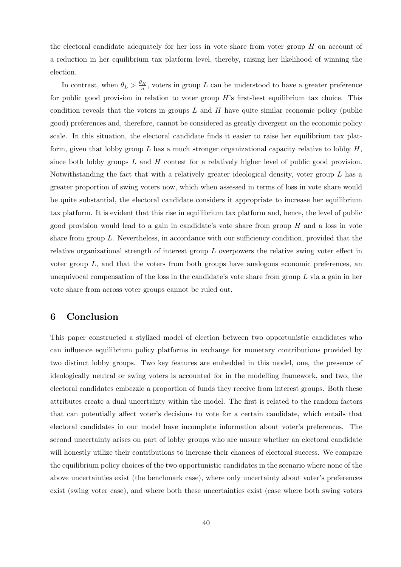the electoral candidate adequately for her loss in vote share from voter group  $H$  on account of a reduction in her equilibrium tax platform level, thereby, raising her likelihood of winning the election.

In contrast, when  $\theta_L > \frac{\theta_H}{n}$ , voters in group L can be understood to have a greater preference for public good provision in relation to voter group  $H$ 's first-best equilibrium tax choice. This condition reveals that the voters in groups  $L$  and  $H$  have quite similar economic policy (public good) preferences and, therefore, cannot be considered as greatly divergent on the economic policy scale. In this situation, the electoral candidate finds it easier to raise her equilibrium tax platform, given that lobby group L has a much stronger organizational capacity relative to lobby  $H$ , since both lobby groups  $L$  and  $H$  contest for a relatively higher level of public good provision. Notwithstanding the fact that with a relatively greater ideological density, voter group L has a greater proportion of swing voters now, which when assessed in terms of loss in vote share would be quite substantial, the electoral candidate considers it appropriate to increase her equilibrium tax platform. It is evident that this rise in equilibrium tax platform and, hence, the level of public good provision would lead to a gain in candidate's vote share from group  $H$  and a loss in vote share from group  $L$ . Nevertheless, in accordance with our sufficiency condition, provided that the relative organizational strength of interest group L overpowers the relative swing voter effect in voter group  $L$ , and that the voters from both groups have analogous economic preferences, an unequivocal compensation of the loss in the candidate's vote share from group  $L$  via a gain in her vote share from across voter groups cannot be ruled out.

# 6 Conclusion

This paper constructed a stylized model of election between two opportunistic candidates who can influence equilibrium policy platforms in exchange for monetary contributions provided by two distinct lobby groups. Two key features are embedded in this model, one, the presence of ideologically neutral or swing voters is accounted for in the modelling framework, and two, the electoral candidates embezzle a proportion of funds they receive from interest groups. Both these attributes create a dual uncertainty within the model. The first is related to the random factors that can potentially affect voter's decisions to vote for a certain candidate, which entails that electoral candidates in our model have incomplete information about voter's preferences. The second uncertainty arises on part of lobby groups who are unsure whether an electoral candidate will honestly utilize their contributions to increase their chances of electoral success. We compare the equilibrium policy choices of the two opportunistic candidates in the scenario where none of the above uncertainties exist (the benchmark case), where only uncertainty about voter's preferences exist (swing voter case), and where both these uncertainties exist (case where both swing voters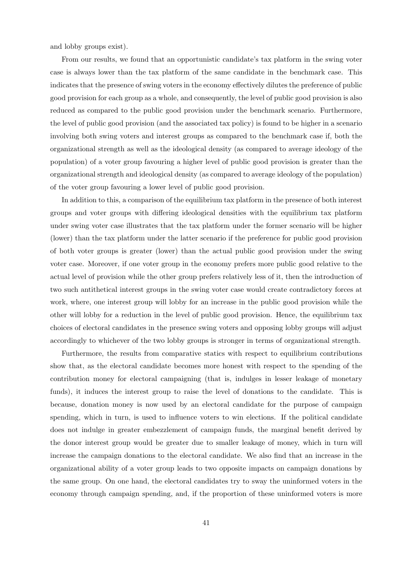and lobby groups exist).

From our results, we found that an opportunistic candidate's tax platform in the swing voter case is always lower than the tax platform of the same candidate in the benchmark case. This indicates that the presence of swing voters in the economy effectively dilutes the preference of public good provision for each group as a whole, and consequently, the level of public good provision is also reduced as compared to the public good provision under the benchmark scenario. Furthermore, the level of public good provision (and the associated tax policy) is found to be higher in a scenario involving both swing voters and interest groups as compared to the benchmark case if, both the organizational strength as well as the ideological density (as compared to average ideology of the population) of a voter group favouring a higher level of public good provision is greater than the organizational strength and ideological density (as compared to average ideology of the population) of the voter group favouring a lower level of public good provision.

In addition to this, a comparison of the equilibrium tax platform in the presence of both interest groups and voter groups with differing ideological densities with the equilibrium tax platform under swing voter case illustrates that the tax platform under the former scenario will be higher (lower) than the tax platform under the latter scenario if the preference for public good provision of both voter groups is greater (lower) than the actual public good provision under the swing voter case. Moreover, if one voter group in the economy prefers more public good relative to the actual level of provision while the other group prefers relatively less of it, then the introduction of two such antithetical interest groups in the swing voter case would create contradictory forces at work, where, one interest group will lobby for an increase in the public good provision while the other will lobby for a reduction in the level of public good provision. Hence, the equilibrium tax choices of electoral candidates in the presence swing voters and opposing lobby groups will adjust accordingly to whichever of the two lobby groups is stronger in terms of organizational strength.

Furthermore, the results from comparative statics with respect to equilibrium contributions show that, as the electoral candidate becomes more honest with respect to the spending of the contribution money for electoral campaigning (that is, indulges in lesser leakage of monetary funds), it induces the interest group to raise the level of donations to the candidate. This is because, donation money is now used by an electoral candidate for the purpose of campaign spending, which in turn, is used to influence voters to win elections. If the political candidate does not indulge in greater embezzlement of campaign funds, the marginal benefit derived by the donor interest group would be greater due to smaller leakage of money, which in turn will increase the campaign donations to the electoral candidate. We also find that an increase in the organizational ability of a voter group leads to two opposite impacts on campaign donations by the same group. On one hand, the electoral candidates try to sway the uninformed voters in the economy through campaign spending, and, if the proportion of these uninformed voters is more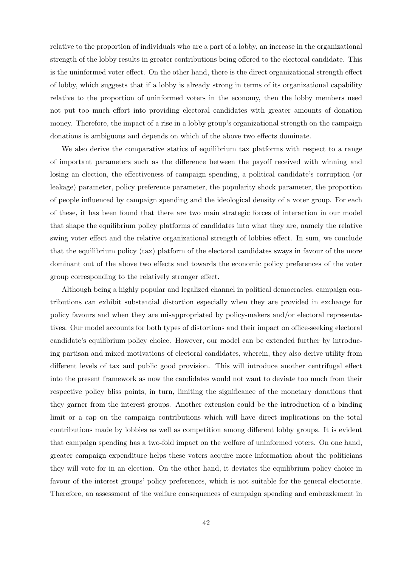relative to the proportion of individuals who are a part of a lobby, an increase in the organizational strength of the lobby results in greater contributions being offered to the electoral candidate. This is the uninformed voter effect. On the other hand, there is the direct organizational strength effect of lobby, which suggests that if a lobby is already strong in terms of its organizational capability relative to the proportion of uninformed voters in the economy, then the lobby members need not put too much effort into providing electoral candidates with greater amounts of donation money. Therefore, the impact of a rise in a lobby group's organizational strength on the campaign donations is ambiguous and depends on which of the above two effects dominate.

We also derive the comparative statics of equilibrium tax platforms with respect to a range of important parameters such as the difference between the payoff received with winning and losing an election, the effectiveness of campaign spending, a political candidate's corruption (or leakage) parameter, policy preference parameter, the popularity shock parameter, the proportion of people influenced by campaign spending and the ideological density of a voter group. For each of these, it has been found that there are two main strategic forces of interaction in our model that shape the equilibrium policy platforms of candidates into what they are, namely the relative swing voter effect and the relative organizational strength of lobbies effect. In sum, we conclude that the equilibrium policy (tax) platform of the electoral candidates sways in favour of the more dominant out of the above two effects and towards the economic policy preferences of the voter group corresponding to the relatively stronger effect.

Although being a highly popular and legalized channel in political democracies, campaign contributions can exhibit substantial distortion especially when they are provided in exchange for policy favours and when they are misappropriated by policy-makers and/or electoral representatives. Our model accounts for both types of distortions and their impact on office-seeking electoral candidate's equilibrium policy choice. However, our model can be extended further by introducing partisan and mixed motivations of electoral candidates, wherein, they also derive utility from different levels of tax and public good provision. This will introduce another centrifugal effect into the present framework as now the candidates would not want to deviate too much from their respective policy bliss points, in turn, limiting the significance of the monetary donations that they garner from the interest groups. Another extension could be the introduction of a binding limit or a cap on the campaign contributions which will have direct implications on the total contributions made by lobbies as well as competition among different lobby groups. It is evident that campaign spending has a two-fold impact on the welfare of uninformed voters. On one hand, greater campaign expenditure helps these voters acquire more information about the politicians they will vote for in an election. On the other hand, it deviates the equilibrium policy choice in favour of the interest groups' policy preferences, which is not suitable for the general electorate. Therefore, an assessment of the welfare consequences of campaign spending and embezzlement in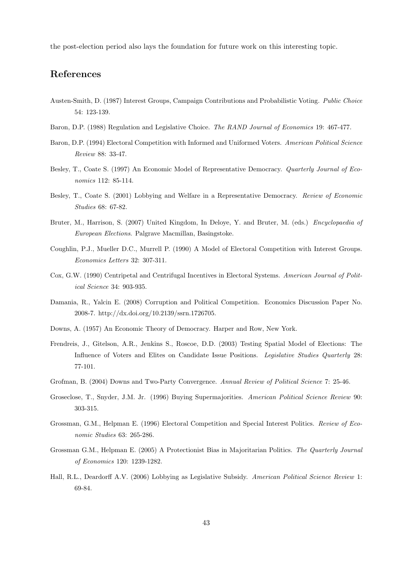the post-election period also lays the foundation for future work on this interesting topic.

## References

- Austen-Smith, D. (1987) Interest Groups, Campaign Contributions and Probabilistic Voting. Public Choice 54: 123-139.
- Baron, D.P. (1988) Regulation and Legislative Choice. The RAND Journal of Economics 19: 467-477.
- Baron, D.P. (1994) Electoral Competition with Informed and Uniformed Voters. American Political Science Review 88: 33-47.
- Besley, T., Coate S. (1997) An Economic Model of Representative Democracy. Quarterly Journal of Economics 112: 85-114.
- Besley, T., Coate S. (2001) Lobbying and Welfare in a Representative Democracy. Review of Economic Studies 68: 67-82.
- Bruter, M., Harrison, S. (2007) United Kingdom, In Deloye, Y. and Bruter, M. (eds.) Encyclopaedia of European Elections. Palgrave Macmillan, Basingstoke.
- Coughlin, P.J., Mueller D.C., Murrell P. (1990) A Model of Electoral Competition with Interest Groups. Economics Letters 32: 307-311.
- Cox, G.W. (1990) Centripetal and Centrifugal Incentives in Electoral Systems. American Journal of Political Science 34: 903-935.
- Damania, R., Yalcin E. (2008) Corruption and Political Competition. Economics Discussion Paper No. 2008-7. http://dx.doi.org/10.2139/ssrn.1726705.
- Downs, A. (1957) An Economic Theory of Democracy. Harper and Row, New York.
- Frendreis, J., Gitelson, A.R., Jenkins S., Roscoe, D.D. (2003) Testing Spatial Model of Elections: The Influence of Voters and Elites on Candidate Issue Positions. Legislative Studies Quarterly 28: 77-101.
- Grofman, B. (2004) Downs and Two-Party Convergence. Annual Review of Political Science 7: 25-46.
- Groseclose, T., Snyder, J.M. Jr. (1996) Buying Supermajorities. American Political Science Review 90: 303-315.
- Grossman, G.M., Helpman E. (1996) Electoral Competition and Special Interest Politics. Review of Economic Studies 63: 265-286.
- Grossman G.M., Helpman E. (2005) A Protectionist Bias in Majoritarian Politics. The Quarterly Journal of Economics 120: 1239-1282.
- Hall, R.L., Deardorff A.V. (2006) Lobbying as Legislative Subsidy. American Political Science Review 1: 69-84.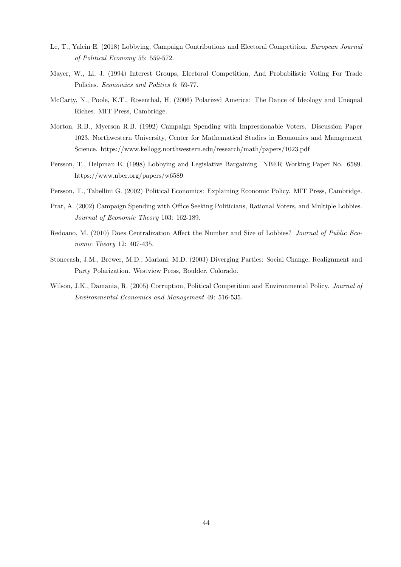- Le, T., Yalcin E. (2018) Lobbying, Campaign Contributions and Electoral Competition. European Journal of Political Economy 55: 559-572.
- Mayer, W., Li, J. (1994) Interest Groups, Electoral Competition, And Probabilistic Voting For Trade Policies. Economics and Politics 6: 59-77.
- McCarty, N., Poole, K.T., Rosenthal, H. (2006) Polarized America: The Dance of Ideology and Unequal Riches. MIT Press, Cambridge.
- Morton, R.B., Myerson R.B. (1992) Campaign Spending with Impressionable Voters. Discussion Paper 1023, Northwestern University, Center for Mathematical Studies in Economics and Management Science. https://www.kellogg.northwestern.edu/research/math/papers/1023.pdf
- Persson, T., Helpman E. (1998) Lobbying and Legislative Bargaining. NBER Working Paper No. 6589. https://www.nber.org/papers/w6589
- Persson, T., Tabellini G. (2002) Political Economics: Explaining Economic Policy. MIT Press, Cambridge.
- Prat, A. (2002) Campaign Spending with Office Seeking Politicians, Rational Voters, and Multiple Lobbies. Journal of Economic Theory 103: 162-189.
- Redoano, M. (2010) Does Centralization Affect the Number and Size of Lobbies? Journal of Public Economic Theory 12: 407-435.
- Stonecash, J.M., Brewer, M.D., Mariani, M.D. (2003) Diverging Parties: Social Change, Realignment and Party Polarization. Westview Press, Boulder, Colorado.
- Wilson, J.K., Damania, R. (2005) Corruption, Political Competition and Environmental Policy. Journal of Environmental Economics and Management 49: 516-535.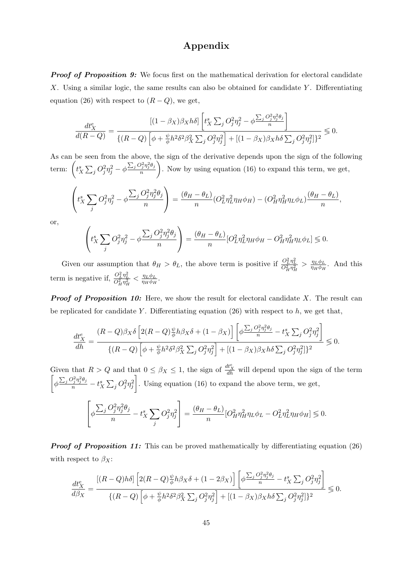### Appendix

**Proof of Proposition 9:** We focus first on the mathematical derivation for electoral candidate X. Using a similar logic, the same results can also be obtained for candidate Y. Differentiating equation (26) with respect to  $(R - Q)$ , we get,

$$
\frac{dt_X^e}{d(R-Q)} = \frac{\left[(1-\beta_X)\beta_Xh\delta\right]\left[t_X^s\sum_j O_j^2\eta_j^2 - \phi\frac{\sum_j O_j^2\eta_j^2\theta_j}{n}\right]}{\left\{(R-Q)\left[\phi + \frac{\psi}{\phi}h^2\delta^2\beta_X^2\sum_j O_j^2\eta_j^2\right] + \left[(1-\beta_X)\beta_Xh\delta\sum_j O_j^2\eta_j^2\right]\right\}^2} \leq 0.
$$

As can be seen from the above, the sign of the derivative depends upon the sign of the following term:  $\left(t_X^s\sum_j O_j^2\eta_j^2 - \phi \frac{\sum_j O_j^2\eta_j^2\theta_j}{n}\right)$ n . Now by using equation (16) to expand this term, we get,  $\sqrt{ }$  $\Big\vert t_{X}^{s}\sum$ j  $O_j^2 \eta_j^2 - \phi$  $\sum_j O_j^2 \eta_j^2 \theta_j$ n  $\setminus$  $= \frac{(\theta_H - \theta_L)}{n}$  $\frac{(1-\theta_L)}{n}(O_L^2\eta_L^2\eta_H\phi_H) - (O_H^2\eta_H^2\eta_L\phi_L)\frac{(\theta_H-\theta_L)}{n}$  $\frac{L}{n}$ , or,

$$
\left(t_X^s \sum_j O_j^2 \eta_j^2 - \phi \frac{\sum_j O_j^2 \eta_j^2 \theta_j}{n}\right) = \frac{(\theta_H - \theta_L)}{n} [O_L^2 \eta_L^2 \eta_H \phi_H - O_H^2 \eta_H^2 \eta_L \phi_L] \lessgtr 0.
$$

Given our assumption that  $\theta_H > \theta_L$ , the above term is positive if  $\frac{O_L^2 \eta_L^2}{O_H^2 \eta_H^2} > \frac{\eta_L \phi_L}{\eta_H \phi_H}$  $\frac{\eta_L \varphi_L}{\eta_H \varphi_H}$ . And this term is negative if,  $\frac{O_L^2 \eta_L^2}{O_H^2 \eta_H^2} < \frac{\eta_L \phi_L}{\eta_H \phi_H}$  $\frac{\eta_L\varphi_L}{\eta_H\phi_H}.$ 

**Proof of Proposition 10:** Here, we show the result for electoral candidate  $X$ . The result can be replicated for candidate Y. Differentiating equation  $(26)$  with respect to h, we get that,

$$
\frac{dt_X^e}{dh} = \frac{(R-Q)\beta_X\delta\left[2(R-Q)\frac{\psi}{\phi}h\beta_X\delta + (1-\beta_X)\right]\left[\phi\frac{\sum_j O_j^2\eta_j^2\theta_j}{n} - t_X^s\sum_j O_j^2\eta_j^2\right]}{\{(R-Q)\left[\phi + \frac{\psi}{\phi}h^2\delta^2\beta_X^2\sum_j O_j^2\eta_j^2\right] + [(1-\beta_X)\beta_Xh\delta\sum_j O_j^2\eta_j^2]\}^2} \leq 0.
$$

Given that  $R > Q$  and that  $0 \leq \beta_X \leq 1$ , the sign of  $\frac{dt_X^e}{dh}$  will depend upon the sign of the term  $\bigg[\phi \frac{\sum_j O_j^2\eta_j^2\theta_j}{n} - t_X^s\sum_j O_j^2\eta_j^2$ . Using equation (16) to expand the above term, we get,

$$
\left[\phi \frac{\sum_j O_j^2 \eta_j^2 \theta_j}{n} - t_X^s \sum_j O_j^2 \eta_j^2\right] = \frac{(\theta_H - \theta_L)}{n} [O_H^2 \eta_H^2 \eta_L \phi_L - O_L^2 \eta_L^2 \eta_H \phi_H] \leq 0.
$$

**Proof of Proposition 11:** This can be proved mathematically by differentiating equation (26) with respect to  $\beta_X$ :

$$
\frac{dt_X^e}{d\beta_X} = \frac{\left[ (R-Q)h\delta \right] \left[ 2(R-Q)\frac{\psi}{\phi}h\beta_X\delta + (1-2\beta_X) \right] \left[ \phi \frac{\sum_j O_j^2 \eta_j^2 \theta_j}{n} - t_X^s \sum_j O_j^2 \eta_j^2 \right]}{\left\{ (R-Q) \left[ \phi + \frac{\psi}{\phi}h^2 \delta^2 \beta_X^2 \sum_j O_j^2 \eta_j^2 \right] + \left[ (1-\beta_X)\beta_X h\delta \sum_j O_j^2 \eta_j^2 \right] \right\}^2} \leq 0.
$$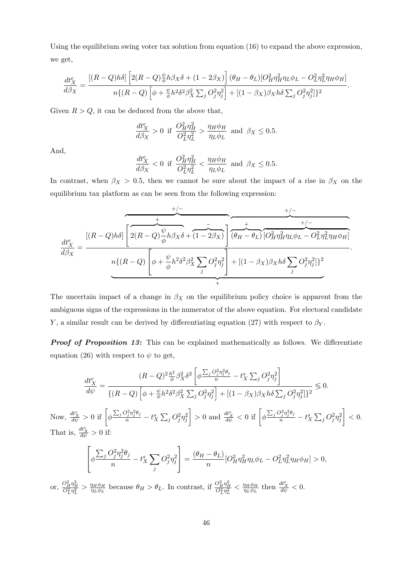Using the equilibrium swing voter tax solution from equation (16) to expand the above expression, we get,

$$
\frac{dt_X^e}{d\beta_X} = \frac{\left[(R-Q)h\delta\right]\left[2(R-Q)\frac{\psi}{\phi}h\beta_X\delta + (1-2\beta_X)\right](\theta_H - \theta_L)[O_H^2\eta_H^2\eta_L\phi_L - O_L^2\eta_L^2\eta_H\phi_H]}{n\{(R-Q)\left[\phi + \frac{\psi}{\phi}h^2\delta^2\beta_X^2\sum_j O_j^2\eta_j^2\right] + \left[(1-\beta_X)\beta_Xh\delta\sum_j O_j^2\eta_j^2\right]\}^2}.
$$

Given  $R > Q$ , it can be deduced from the above that,

$$
\frac{dt_X^e}{d\beta_X} > 0 \text{ if } \frac{O_H^2 \eta_H^2}{O_L^2 \eta_L^2} > \frac{\eta_H \phi_H}{\eta_L \phi_L} \text{ and } \beta_X \le 0.5.
$$

And,

$$
\frac{dt_X^e}{d\beta_X} < 0 \text{ if } \frac{O_H^2 \eta_H^2}{O_L^2 \eta_L^2} < \frac{\eta_H \phi_H}{\eta_L \phi_L} \text{ and } \beta_X \le 0.5.
$$

In contrast, when  $\beta_X > 0.5$ , then we cannot be sure about the impact of a rise in  $\beta_X$  on the equilibrium tax platform as can be seen from the following expression:

$$
\frac{dt_X^e}{d\beta_X} = \frac{[(R-Q)h\delta]\left[2(R-Q)\frac{\psi}{\phi}h\beta_X\delta + (1-2\beta_X)\right]\left(\theta_H - \theta_L\right)\left[O_H^2\eta_H^2\eta_L\phi_L - O_L^2\eta_L^2\eta_H\phi_H\right]}{n\{(R-Q)\left[\phi + \frac{\psi}{\phi}h^2\delta^2\beta_X^2\sum_j O_j^2\eta_j^2\right] + [(1-\beta_X)\beta_Xh\delta\sum_j O_j^2\eta_j^2]\}^2}.
$$

The uncertain impact of a change in  $\beta_X$  on the equilibrium policy choice is apparent from the ambiguous signs of the expressions in the numerator of the above equation. For electoral candidate Y, a similar result can be derived by differentiating equation (27) with respect to  $\beta_Y$ .

**Proof of Proposition 13:** This can be explained mathematically as follows. We differentiate equation (26) with respect to  $\psi$  to get,

$$
\frac{dt_X^e}{d\psi} = \frac{(R-Q)^2 \frac{h^2}{\phi} \beta_X^2 \delta^2 \left[\phi \frac{\sum_j O_j^2 \eta_j^2 \theta_j}{n} - t_X^s \sum_j O_j^2 \eta_j^2\right]}{\{(R-Q) \left[\phi + \frac{\psi}{\phi} h^2 \delta^2 \beta_X^2 \sum_j O_j^2 \eta_j^2\right] + \left[(1-\beta_X)\beta_X h \delta \sum_j O_j^2 \eta_j^2\right] \}^2} \le 0.
$$
\nNow,  $\frac{dt_X^e}{d\psi} > 0$  if  $\left[\phi \frac{\sum_j O_j^2 \eta_j^2 \theta_j}{n} - t_X^s \sum_j O_j^2 \eta_j^2\right] > 0$  and  $\frac{dt_X^e}{d\psi} < 0$  if  $\left[\phi \frac{\sum_j O_j^2 \eta_j^2 \theta_j}{n} - t_X^s \sum_j O_j^2 \eta_j^2\right] < 0.$ 

\nThat is,  $\frac{dt_X^e}{d\psi} > 0$  if:

\n
$$
\left[\phi \frac{\sum_j O_j^2 \eta_j^2 \theta_j}{n} - t_X^s \sum_j O_j^2 \eta_j^2\right] = \frac{(\theta_H - \theta_L)}{n} [O_H^2 \eta_H^2 \eta_L \phi_L - O_L^2 \eta_L^2 \eta_H \phi_H] > 0,
$$
\nor,  $\frac{O_H^2 \eta_H^2}{O_{L}^2 \eta_L^2} > \frac{\eta_H \phi_H}{\eta_L \phi_L}$  because  $\theta_H > \theta_L$ . In contrast, if  $\frac{O_H^2 \eta_H^2}{O_{L}^2 \eta_L^2} < \frac{\eta_H \phi_H}{\eta_L \phi_L}$  then  $\frac{dt_X^e}{d\psi} < 0.$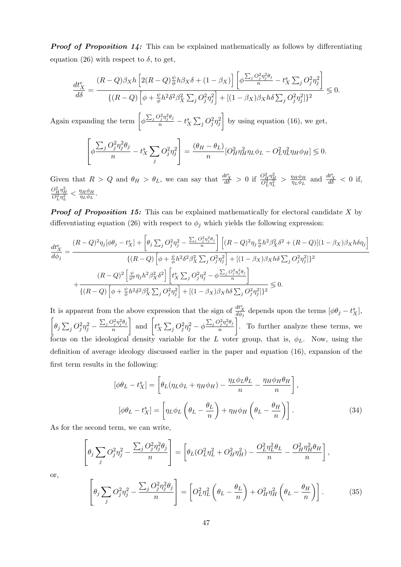**Proof of Proposition 14:** This can be explained mathematically as follows by differentiating equation (26) with respect to  $\delta$ , to get,

$$
\frac{dt_X^e}{d\delta} = \frac{(R-Q)\beta_X h \left[2(R-Q)\frac{\psi}{\phi}h\beta_X\delta + (1-\beta_X)\right] \left[\phi\frac{\sum_j O_j^2 \eta_j^2 \theta_j}{n} - t_X^s \sum_j O_j^2 \eta_j^2\right]}{\{(R-Q)\left[\phi + \frac{\psi}{\phi}h^2\delta^2\beta_X^2 \sum_j O_j^2 \eta_j^2\right] + [(1-\beta_X)\beta_X h\delta \sum_j O_j^2 \eta_j^2]\}^2} \leq 0.
$$

Again expanding the term  $\left[\phi \frac{\sum_j Q_j^2 \eta_j^2 \theta_j}{n} - t_X^s \sum_j Q_j^2 \eta_j^2\right]$ by using equation (16), we get,

$$
\left[\phi \frac{\sum_j O_j^2 \eta_j^2 \theta_j}{n} - t_X^s \sum_j O_j^2 \eta_j^2\right] = \frac{(\theta_H - \theta_L)}{n} [O_H^2 \eta_H^2 \eta_L \phi_L - O_L^2 \eta_L^2 \eta_H \phi_H] \lessgtr 0.
$$

Given that  $R > Q$  and  $\theta_H > \theta_L$ , we can say that  $\frac{dt_X^e}{d\delta} > 0$  if  $\frac{O_H^2 \eta_H^2}{O_L^2 \eta_L^2} > \frac{\eta_H \phi_H}{\eta_L \phi_L}$  $\frac{\eta_H \phi_H}{\eta_L \phi_L}$  and  $\frac{dt_X^e}{d\delta} < 0$  if,  $\frac{O_H^2 \eta_H^2}{O_L^2 \eta_L^2} < \frac{\eta_H \phi_H}{\eta_L \phi_L}$  $\frac{\eta_{H}\phi_{H}}{\eta_{L}\phi_{L}}.$ 

**Proof of Proposition 15:** This can be explained mathematically for electoral candidate X by differentiating equation (26) with respect to  $\phi_j$  which yields the following expression:

$$
\frac{dt_X^e}{d\phi_j} = \frac{(R-Q)^2 \eta_j [\phi \theta_j - t_X^s] + \left[\theta_j \sum_j O_j^2 \eta_j^2 - \frac{\sum_j O_j^2 \eta_j^2 \theta_j}{n}\right] \left[(R-Q)^2 \eta_j \frac{\psi}{\phi} h^2 \beta_X^2 \delta^2 + (R-Q)[(1-\beta_X)\beta_X h \delta \eta_j\right]}{\{(R-Q) \left[\phi + \frac{\psi}{\phi} h^2 \delta^2 \beta_X^2 \sum_j O_j^2 \eta_j^2\right] + \left[(1-\beta_X)\beta_X h \delta \sum_j O_j^2 \eta_j^2\right] \}^2} \times \frac{(R-Q)^2 \left[\frac{\psi}{\phi^2} \eta_j h^2 \beta_X^2 \delta^2\right] \left[t_X^s \sum_j O_j^2 \eta_j^2 - \phi \frac{\sum_j O_j^2 \eta_j^2 \theta_j}{n}\right]}{\{(R-Q) \left[\phi + \frac{\psi}{\phi} h^2 \delta^2 \beta_X^2 \sum_j O_j^2 \eta_j^2\right] + \left[(1-\beta_X)\beta_X h \delta \sum_j O_j^2 \eta_j^2\right] \}^2} \leq 0.
$$

It is apparent from the above expression that the sign of  $\frac{d t_X^e}{d \phi_j}$  depends upon the terms  $[\phi \theta_j - t_X^s]$ ,  $\left[\theta_j \sum_j O_j^2 \eta_j^2 - \frac{\sum_j O_j^2 \eta_j^2 \theta_j}{n}\right]$ n and  $\left[t_X^s \sum_j O_j^2 \eta_j^2 - \phi \frac{\sum_j O_j^2 \eta_j^2 \theta_j}{n}\right]$ n . To further analyze these terms, we focus on the ideological density variable for the L voter group, that is,  $\phi_L$ . Now, using the definition of average ideology discussed earlier in the paper and equation (16), expansion of the first term results in the following:

$$
[\phi \theta_L - t_X^s] = \left[ \theta_L (\eta_L \phi_L + \eta_H \phi_H) - \frac{\eta_L \phi_L \theta_L}{n} - \frac{\eta_H \phi_H \theta_H}{n} \right],
$$

$$
[\phi \theta_L - t_X^s] = \left[ \eta_L \phi_L \left( \theta_L - \frac{\theta_L}{n} \right) + \eta_H \phi_H \left( \theta_L - \frac{\theta_H}{n} \right) \right].
$$
(34)

As for the second term, we can write,

$$
\left[\theta_j \sum_j O_j^2 \eta_j^2 - \frac{\sum_j O_j^2 \eta_j^2 \theta_j}{n}\right] = \left[\theta_L (O_L^2 \eta_L^2 + O_H^2 \eta_H^2) - \frac{O_L^2 \eta_L^2 \theta_L}{n} - \frac{O_H^2 \eta_H^2 \theta_H}{n}\right],
$$

or,

$$
\left[\theta_j \sum_j O_j^2 \eta_j^2 - \frac{\sum_j O_j^2 \eta_j^2 \theta_j}{n}\right] = \left[O_L^2 \eta_L^2 \left(\theta_L - \frac{\theta_L}{n}\right) + O_H^2 \eta_H^2 \left(\theta_L - \frac{\theta_H}{n}\right)\right].\tag{35}
$$